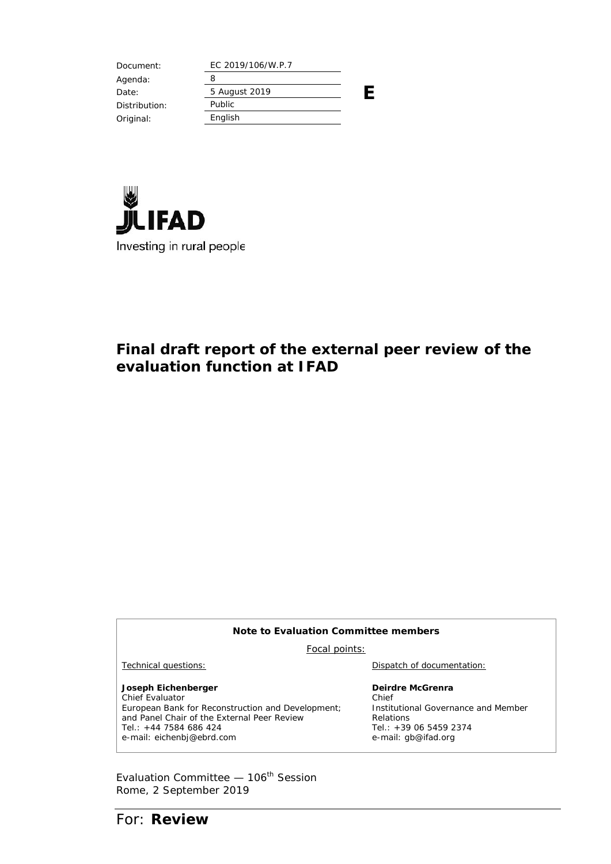Document: EC 2019/106/W.P.7 **E** Agenda: 8 Date: 5 August 2019 Distribution: Public Original: English



## **Final draft report of the external peer review of the evaluation function at IFAD**

| Note to Evaluation Committee members                                                                                                                                                                |                                                                                                                               |  |
|-----------------------------------------------------------------------------------------------------------------------------------------------------------------------------------------------------|-------------------------------------------------------------------------------------------------------------------------------|--|
| Focal points:                                                                                                                                                                                       |                                                                                                                               |  |
| Technical questions:                                                                                                                                                                                | Dispatch of documentation:                                                                                                    |  |
| Joseph Eichenberger<br>Chief Evaluator<br>European Bank for Reconstruction and Development;<br>and Panel Chair of the External Peer Review<br>Tel.: $+44$ 7584 686 424<br>e-mail: eichenbj@ebrd.com | Deirdre McGrenra<br>Chief<br>Institutional Governance and Member<br>Relations<br>Tel.: $+390654592374$<br>e-mail: gb@ifad.org |  |

Evaluation Committee  $-106^{\text{th}}$  Session Rome, 2 September 2019

For: **Review**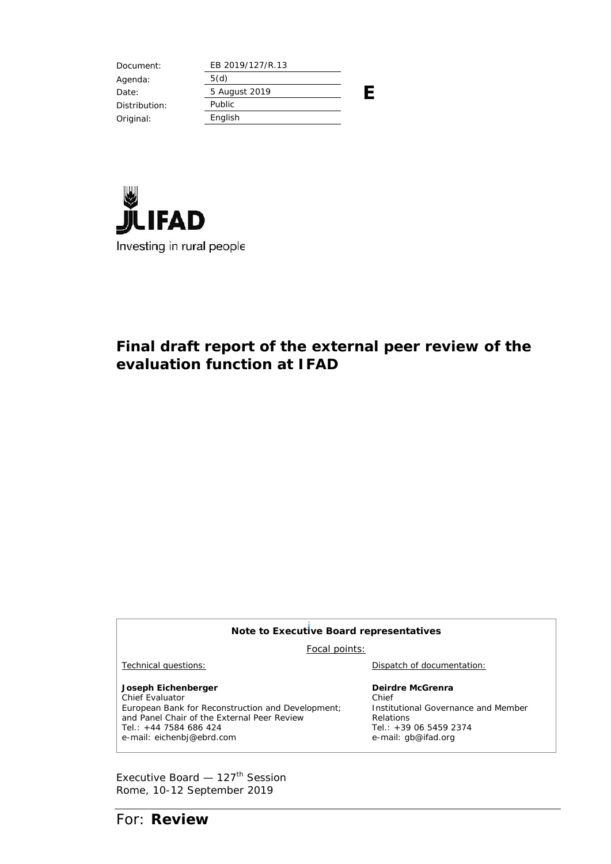Document: EB 2019/127/R.13 **E** Agenda: 5(d) Date: 5 August 2019 Distribution: Public Original: English



## **Final draft report of the external peer review of the evaluation function at IFAD**

| Note to Executive Board representatives                                                                                                                                                             |                                                                                                                               |  |
|-----------------------------------------------------------------------------------------------------------------------------------------------------------------------------------------------------|-------------------------------------------------------------------------------------------------------------------------------|--|
| Focal points:                                                                                                                                                                                       |                                                                                                                               |  |
| Technical questions:                                                                                                                                                                                | Dispatch of documentation:                                                                                                    |  |
| Joseph Eichenberger<br>Chief Evaluator<br>European Bank for Reconstruction and Development;<br>and Panel Chair of the External Peer Review<br>Tel.: $+44$ 7584 686 424<br>e-mail: eichenbj@ebrd.com | Deirdre McGrenra<br>Chief<br>Institutional Governance and Member<br>Relations<br>Tel.: $+390654592374$<br>e-mail: gb@ifad.org |  |

Executive Board  $-127$ <sup>th</sup> Session Rome, 10-12 September 2019

For: **Review**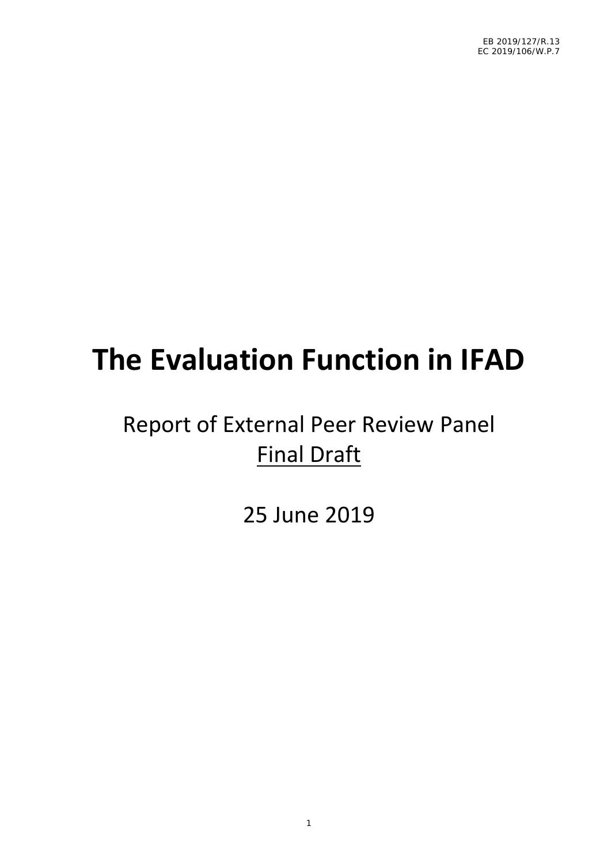# **The Evaluation Function in IFAD**

## Report of External Peer Review Panel Final Draft

25 June 2019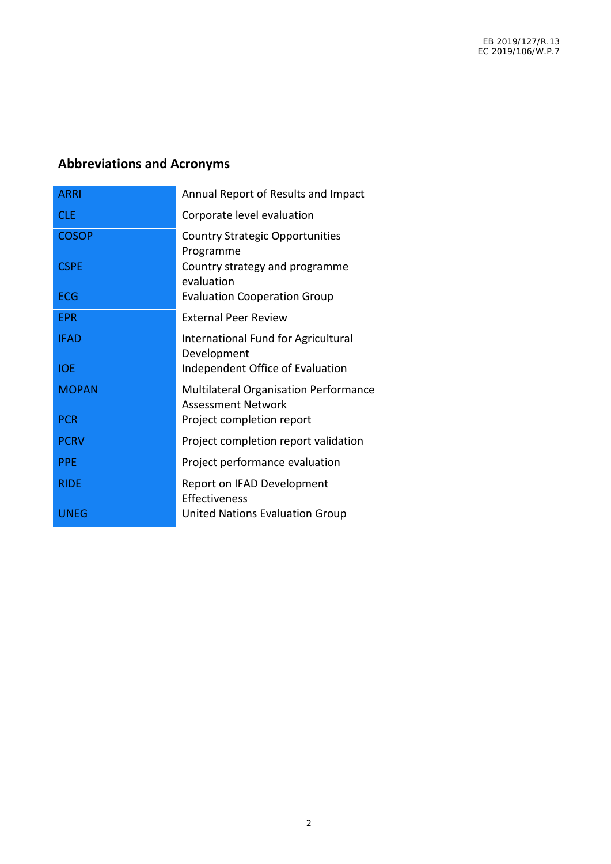## **Abbreviations and Acronyms**

| <b>ARRI</b>  | Annual Report of Results and Impact                                |
|--------------|--------------------------------------------------------------------|
| <b>CLE</b>   | Corporate level evaluation                                         |
| <b>COSOP</b> | <b>Country Strategic Opportunities</b><br>Programme                |
| <b>CSPE</b>  | Country strategy and programme<br>evaluation                       |
| <b>ECG</b>   | <b>Evaluation Cooperation Group</b>                                |
| <b>EPR</b>   | <b>External Peer Review</b>                                        |
| <b>IFAD</b>  | International Fund for Agricultural<br>Development                 |
| <b>IOE</b>   | Independent Office of Evaluation                                   |
| <b>MOPAN</b> | Multilateral Organisation Performance<br><b>Assessment Network</b> |
| <b>PCR</b>   | Project completion report                                          |
| <b>PCRV</b>  | Project completion report validation                               |
| <b>PPE</b>   | Project performance evaluation                                     |
| <b>RIDE</b>  | Report on IFAD Development<br>Effectiveness                        |
| UNEG         | United Nations Evaluation Group                                    |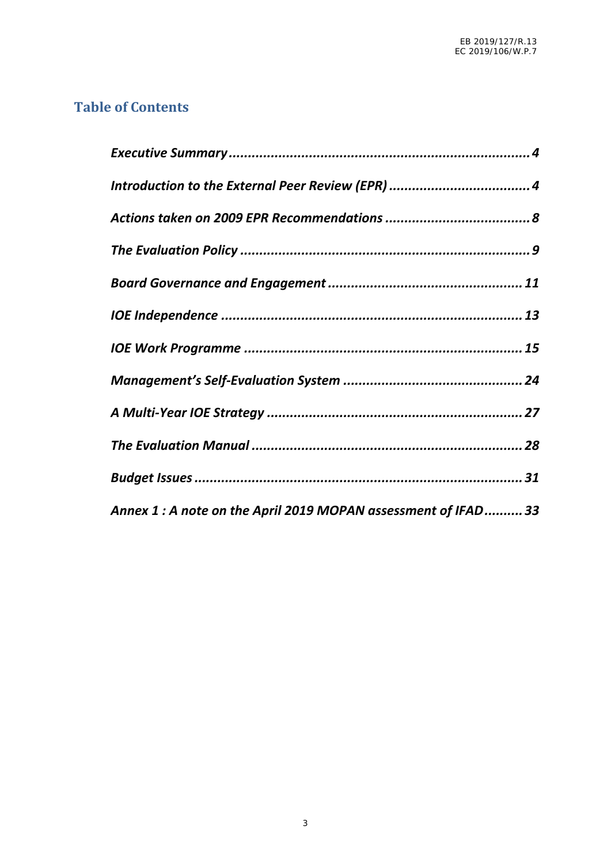## **Table of Contents**

| Annex 1 : A note on the April 2019 MOPAN assessment of IFAD 33 |  |
|----------------------------------------------------------------|--|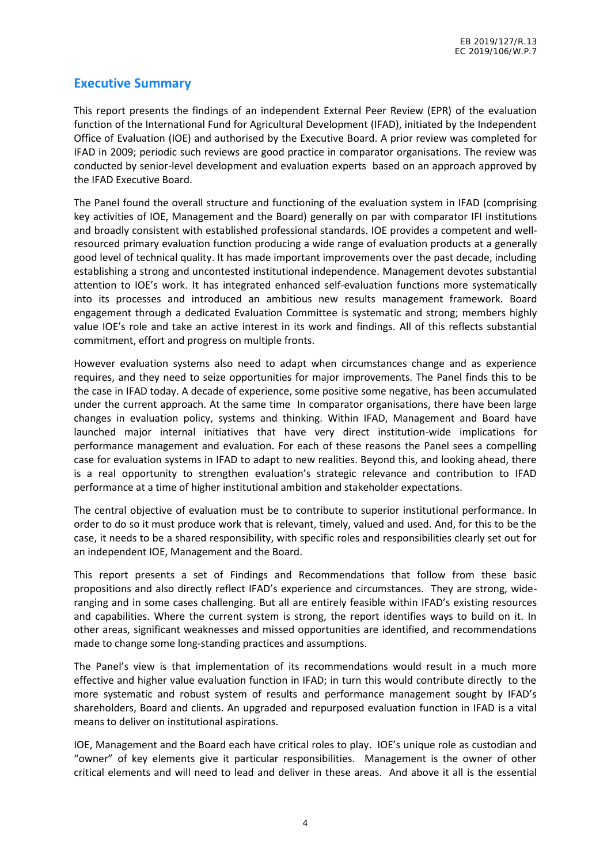## **Executive Summary**

This report presents the findings of an independent External Peer Review (EPR) of the evaluation function of the International Fund for Agricultural Development (IFAD), initiated by the Independent Office of Evaluation (IOE) and authorised by the Executive Board. A prior review was completed for IFAD in 2009; periodic such reviews are good practice in comparator organisations. The review was conducted by senior-level development and evaluation experts based on an approach approved by the IFAD Executive Board.

The Panel found the overall structure and functioning of the evaluation system in IFAD (comprising key activities of IOE, Management and the Board) generally on par with comparator IFI institutions and broadly consistent with established professional standards. IOE provides a competent and well resourced primary evaluation function producing a wide range of evaluation products at a generally good level of technical quality. It has made important improvements over the past decade, including establishing a strong and uncontested institutional independence. Management devotes substantial attention to IOE's work. It has integrated enhanced self-evaluation functions more systematically into its processes and introduced an ambitious new results management framework. Board engagement through a dedicated Evaluation Committee is systematic and strong; members highly value IOE's role and take an active interest in its work and findings. All of this reflects substantial commitment, effort and progress on multiple fronts.

However evaluation systems also need to adapt when circumstances change and as experience requires, and they need to seize opportunities for major improvements. The Panel finds this to be the case in IFAD today. A decade of experience, some positive some negative, has been accumulated under the current approach. At the same time In comparator organisations, there have been large changes in evaluation policy, systems and thinking. Within IFAD, Management and Board have launched major internal initiatives that have very direct institution-wide implications for performance management and evaluation. For each of these reasons the Panel sees a compelling case for evaluation systems in IFAD to adapt to new realities. Beyond this, and looking ahead, there is a real opportunity to strengthen evaluation's strategic relevance and contribution to IFAD performance at a time of higher institutional ambition and stakeholder expectations.

The central objective of evaluation must be to contribute to superior institutional performance. In order to do so it must produce work that is relevant, timely, valued and used. And, for this to be the case, it needs to be a shared responsibility, with specific roles and responsibilities clearly set out for an independent IOE, Management and the Board.

This report presents a set of Findings and Recommendations that follow from these basic propositions and also directly reflect IFAD's experience and circumstances. They are strong, wide ranging and in some cases challenging. But all are entirely feasible within IFAD's existing resources and capabilities. Where the current system is strong, the report identifies ways to build on it. In other areas, significant weaknesses and missed opportunities are identified, and recommendations made to change some long-standing practices and assumptions.

The Panel's view is that implementation of its recommendations would result in a much more effective and higher value evaluation function in IFAD; in turn this would contribute directly to the more systematic and robust system of results and performance management sought by IFAD's shareholders, Board and clients. An upgraded and repurposed evaluation function in IFAD is a vital means to deliver on institutional aspirations.

IOE, Management and the Board each have critical roles to play. IOE's unique role as custodian and "owner" of key elements give it particular responsibilities. Management is the owner of other critical elements and will need to lead and deliver in these areas. And above it all is the essential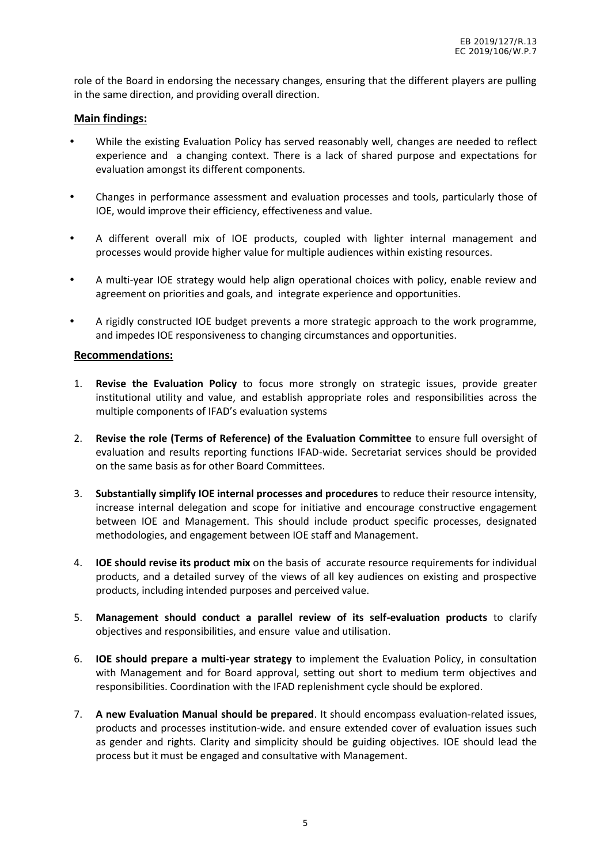role of the Board in endorsing the necessary changes, ensuring that the different players are pulling in the same direction, and providing overall direction.

#### **Main findings:**

- $N$  While the existing Evaluation Policy has served reasonably well, changes are needed to reflect experience and a changing context. There is a lack of shared purpose and expectations for evaluation amongst its different components.
- $N$  Changes in performance assessment and evaluation processes and tools, particularly those of IOE, would improve their efficiency, effectiveness and value.
- $\hat{N}$  A different overall mix of IOE products, coupled with lighter internal management and processes would provide higher value for multiple audiences within existing resources.
- $N$  A multi-year IOE strategy would help align operational choices with policy, enable review and agreement on priorities and goals, and integrate experience and opportunities.
- $\hat{N}$  A rigidly constructed IOE budget prevents a more strategic approach to the work programme, and impedes IOE responsiveness to changing circumstances and opportunities.

#### **Recommendations:**

- 1. **Revise the Evaluation Policy** to focus more strongly on strategic issues, provide greater institutional utility and value, and establish appropriate roles and responsibilities across the multiple components of IFAD's evaluation systems
- 2. **Revise the role (Terms of Reference) of the Evaluation Committee** to ensure full oversight of evaluation and results reporting functions IFAD-wide. Secretariat services should be provided on the same basis as for other Board Committees.
- 3. **Substantially simplify IOE internal processes and procedures** to reduce their resource intensity, increase internal delegation and scope for initiative and encourage constructive engagement between IOE and Management. This should include product specific processes, designated methodologies, and engagement between IOE staff and Management.
- 4. **IOE should revise its product mix** on the basis of accurate resource requirements for individual products, and a detailed survey of the views of all key audiences on existing and prospective products, including intended purposes and perceived value.
- 5. **Management should conduct a parallel review of its self-evaluation products** to clarify objectives and responsibilities, and ensure value and utilisation.
- 6. **IOE should prepare a multi-year strategy** to implement the Evaluation Policy, in consultation with Management and for Board approval, setting out short to medium term objectives and responsibilities. Coordination with the IFAD replenishment cycle should be explored.
- 7. **A new Evaluation Manual should be prepared**. It should encompass evaluation-related issues, products and processes institution-wide. and ensure extended cover of evaluation issues such as gender and rights. Clarity and simplicity should be guiding objectives. IOE should lead the process but it must be engaged and consultative with Management.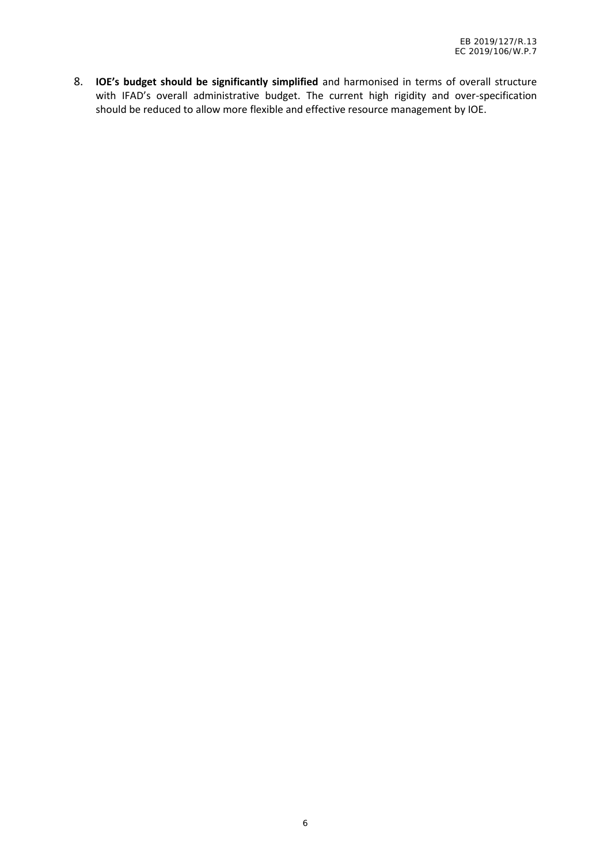8. **IOE's budget should be significantly simplified** and harmonised in terms of overall structure with IFAD's overall administrative budget. The current high rigidity and over-specification should be reduced to allow more flexible and effective resource management by IOE.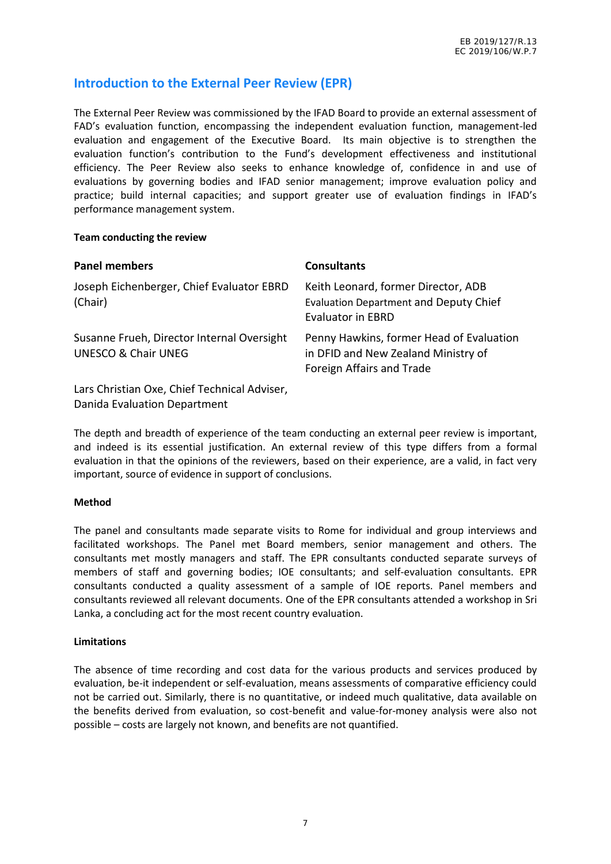## **Introduction to the External Peer Review (EPR)**

The External Peer Review was commissioned by the IFAD Board to provide an external assessment of FAD's evaluation function, encompassing the independent evaluation function, management-led evaluation and engagement of the Executive Board. Its main objective is to strengthen the evaluation function's contribution to the Fund's development effectiveness and institutional efficiency. The Peer Review also seeks to enhance knowledge of, confidence in and use of evaluations by governing bodies and IFAD senior management; improve evaluation policy and practice; build internal capacities; and support greater use of evaluation findings in IFAD's performance management system.

#### **Team conducting the review**

| <b>Panel members</b>                                                         | <b>Consultants</b>                                                                                               |
|------------------------------------------------------------------------------|------------------------------------------------------------------------------------------------------------------|
| Joseph Eichenberger, Chief Evaluator EBRD<br>(Chair)                         | Keith Leonard, former Director, ADB<br><b>Evaluation Department and Deputy Chief</b><br><b>Evaluator in EBRD</b> |
| Susanne Frueh, Director Internal Oversight<br><b>UNESCO &amp; Chair UNEG</b> | Penny Hawkins, former Head of Evaluation<br>in DFID and New Zealand Ministry of<br>Foreign Affairs and Trade     |
| Lars Christian Oxe, Chief Technical Adviser,                                 |                                                                                                                  |

Danida Evaluation Department

The depth and breadth of experience of the team conducting an external peer review is important, and indeed is its essential justification. An external review of this type differs from a formal evaluation in that the opinions of the reviewers, based on their experience, are a valid, in fact very important, source of evidence in support of conclusions.

#### **Method**

The panel and consultants made separate visits to Rome for individual and group interviews and facilitated workshops. The Panel met Board members, senior management and others. The consultants met mostly managers and staff. The EPR consultants conducted separate surveys of members of staff and governing bodies; IOE consultants; and self-evaluation consultants. EPR consultants conducted a quality assessment of a sample of IOE reports. Panel members and consultants reviewed all relevant documents. One of the EPR consultants attended a workshop in Sri Lanka, a concluding act for the most recent country evaluation.

#### **Limitations**

The absence of time recording and cost data for the various products and services produced by evaluation, be-it independent or self-evaluation, means assessments of comparative efficiency could not be carried out. Similarly, there is no quantitative, or indeed much qualitative, data available on the benefits derived from evaluation, so cost-benefit and value-for-money analysis were also not possible – costs are largely not known, and benefits are not quantified.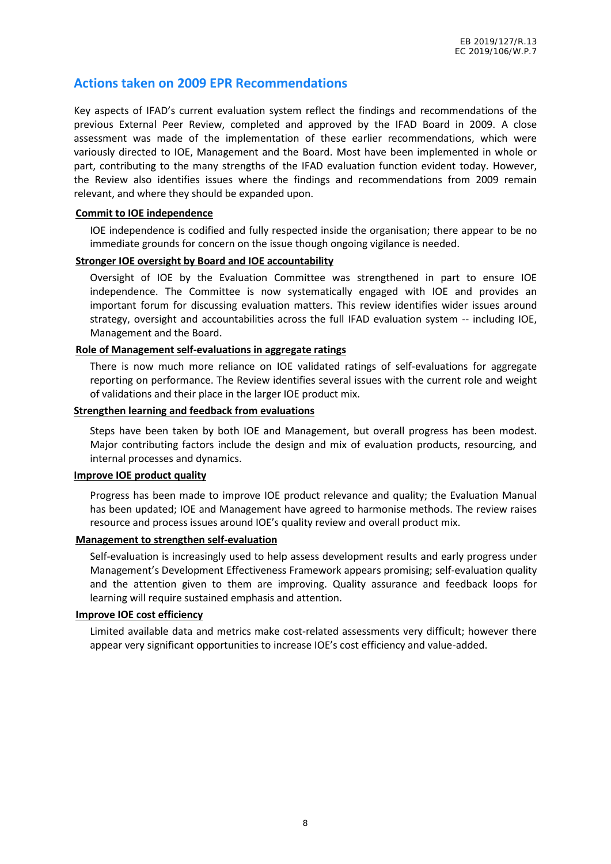## **Actions taken on 2009 EPR Recommendations**

Key aspects of IFAD's current evaluation system reflect the findings and recommendations of the previous External Peer Review, completed and approved by the IFAD Board in 2009. A close assessment was made of the implementation of these earlier recommendations, which were variously directed to IOE, Management and the Board. Most have been implemented in whole or part, contributing to the many strengths of the IFAD evaluation function evident today. However, the Review also identifies issues where the findings and recommendations from 2009 remain relevant, and where they should be expanded upon.

#### **Commit to IOE independence**

**o** IOE independence is codified and fully respected inside the organisation; there appear to be no immediate grounds for concern on the issue though ongoing vigilance is needed.

#### **Stronger IOE oversight by Board and IOE accountability**

**o** Oversight of IOE by the Evaluation Committee was strengthened in part to ensure IOE independence. The Committee is now systematically engaged with IOE and provides an important forum for discussing evaluation matters. This review identifies wider issues around strategy, oversight and accountabilities across the full IFAD evaluation system -- including IOE, Management and the Board.

#### **Role of Management self-evaluations in aggregate ratings**

**o** There is now much more reliance on IOE validated ratings of self-evaluations for aggregate reporting on performance. The Review identifies several issues with the current role and weight of validations and their place in the larger IOE product mix.

#### **Strengthen learning and feedback from evaluations**

**o** Steps have been taken by both IOE and Management, but overall progress has been modest. Major contributing factors include the design and mix of evaluation products, resourcing, and internal processes and dynamics.

#### **Improve IOE product quality**

**o** Progress has been made to improve IOE product relevance and quality; the Evaluation Manual has been updated; IOE and Management have agreed to harmonise methods. The review raises resource and process issues around IOE's quality review and overall product mix.

#### **Management to strengthen self-evaluation**

**o** Self-evaluation is increasingly used to help assess development results and early progress under Management's Development Effectiveness Framework appears promising; self-evaluation quality and the attention given to them are improving. Quality assurance and feedback loops for learning will require sustained emphasis and attention.

#### **Improve IOE cost efficiency**

**o** Limited available data and metrics make cost-related assessments very difficult; however there appear very significant opportunities to increase IOE's cost efficiency and value-added.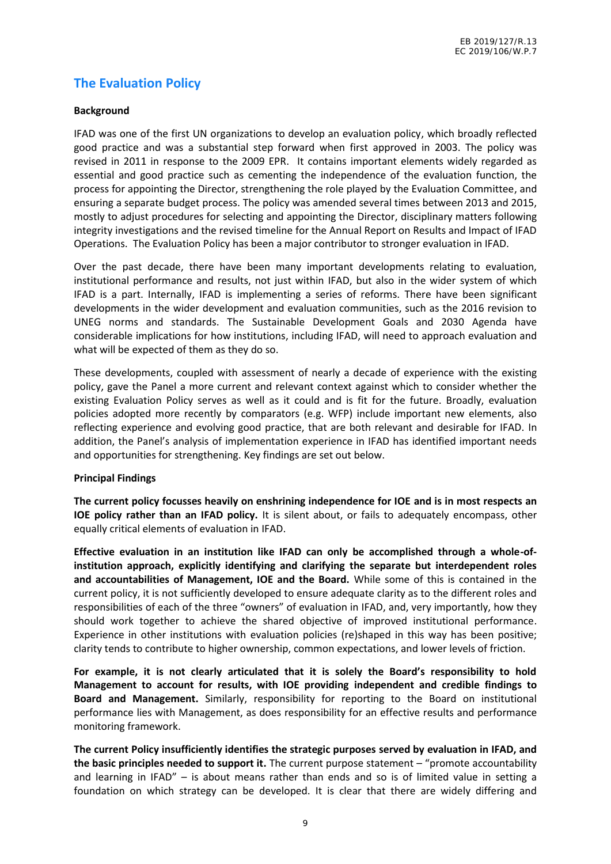## **The Evaluation Policy**

#### **Background**

IFAD was one of the first UN organizations to develop an evaluation policy, which broadly reflected good practice and was a substantial step forward when first approved in 2003. The policy was revised in 2011 in response to the 2009 EPR. It contains important elements widely regarded as essential and good practice such as cementing the independence of the evaluation function, the process for appointing the Director, strengthening the role played by the Evaluation Committee, and ensuring a separate budget process. The policy was amended several times between 2013 and 2015, mostly to adjust procedures for selecting and appointing the Director, disciplinary matters following integrity investigations and the revised timeline for the Annual Report on Results and Impact of IFAD Operations. The Evaluation Policy has been a major contributor to stronger evaluation in IFAD.

Over the past decade, there have been many important developments relating to evaluation, institutional performance and results, not just within IFAD, but also in the wider system of which IFAD is a part. Internally, IFAD is implementing a series of reforms. There have been significant developments in the wider development and evaluation communities, such as the 2016 revision to UNEG norms and standards. The Sustainable Development Goals and 2030 Agenda have considerable implications for how institutions, including IFAD, will need to approach evaluation and what will be expected of them as they do so.

These developments, coupled with assessment of nearly a decade of experience with the existing policy, gave the Panel a more current and relevant context against which to consider whether the existing Evaluation Policy serves as well as it could and is fit for the future. Broadly, evaluation policies adopted more recently by comparators (e.g. WFP) include important new elements, also reflecting experience and evolving good practice, that are both relevant and desirable for IFAD. In addition, the Panel's analysis of implementation experience in IFAD has identified important needs and opportunities for strengthening. Key findings are set out below.

#### **Principal Findings**

**The current policy focusses heavily on enshrining independence for IOE and is in most respects an IOE policy rather than an IFAD policy.** It is silent about, or fails to adequately encompass, other equally critical elements of evaluation in IFAD.

**Effective evaluation in an institution like IFAD can only be accomplished through a whole-ofinstitution approach, explicitly identifying and clarifying the separate but interdependent roles and accountabilities of Management, IOE and the Board.** While some of this is contained in the current policy, it is not sufficiently developed to ensure adequate clarity as to the different roles and responsibilities of each of the three "owners" of evaluation in IFAD, and, very importantly, how they should work together to achieve the shared objective of improved institutional performance. Experience in other institutions with evaluation policies (re)shaped in this way has been positive; clarity tends to contribute to higher ownership, common expectations, and lower levels of friction.

**For example, it is not clearly articulated that it is solely the Board's responsibility to hold Management to account for results, with IOE providing independent and credible findings to Board and Management.** Similarly, responsibility for reporting to the Board on institutional performance lies with Management, as does responsibility for an effective results and performance monitoring framework.

**The current Policy insufficiently identifies the strategic purposes served by evaluation in IFAD, and the basic principles needed to support it.** The current purpose statement – "promote accountability and learning in IFAD" – is about means rather than ends and so is of limited value in setting a foundation on which strategy can be developed. It is clear that there are widely differing and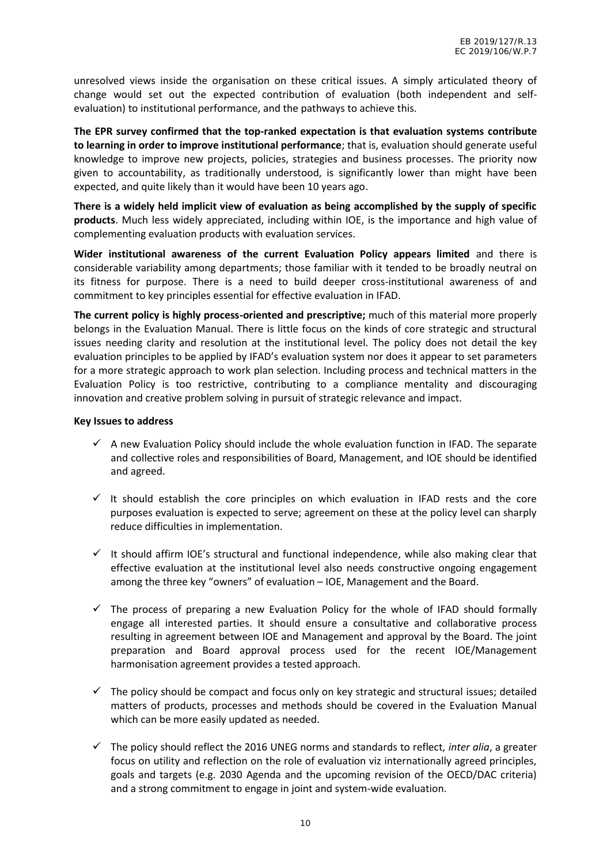unresolved views inside the organisation on these critical issues. A simply articulated theory of change would set out the expected contribution of evaluation (both independent and self evaluation) to institutional performance, and the pathways to achieve this.

**The EPR survey confirmed that the top-ranked expectation is that evaluation systems contribute to learning in order to improve institutional performance**; that is, evaluation should generate useful knowledge to improve new projects, policies, strategies and business processes. The priority now given to accountability, as traditionally understood, is significantly lower than might have been expected, and quite likely than it would have been 10 years ago.

**There is a widely held implicit view of evaluation as being accomplished by the supply of specific products**. Much less widely appreciated, including within IOE, is the importance and high value of complementing evaluation products with evaluation services.

**Wider institutional awareness of the current Evaluation Policy appears limited** and there is considerable variability among departments; those familiar with it tended to be broadly neutral on its fitness for purpose. There is a need to build deeper cross-institutional awareness of and commitment to key principles essential for effective evaluation in IFAD.

**The current policy is highly process-oriented and prescriptive;** much of this material more properly belongs in the Evaluation Manual. There is little focus on the kinds of core strategic and structural issues needing clarity and resolution at the institutional level. The policy does not detail the key evaluation principles to be applied by IFAD's evaluation system nor does it appear to set parameters for a more strategic approach to work plan selection. Including process and technical matters in the Evaluation Policy is too restrictive, contributing to a compliance mentality and discouraging innovation and creative problem solving in pursuit of strategic relevance and impact.

#### **Key Issues to address**

- $\checkmark$  A new Evaluation Policy should include the whole evaluation function in IFAD. The separate and collective roles and responsibilities of Board, Management, and IOE should be identified and agreed.
- $\checkmark$  It should establish the core principles on which evaluation in IFAD rests and the core purposes evaluation is expected to serve; agreement on these at the policy level can sharply reduce difficulties in implementation.
- $\checkmark$  It should affirm IOE's structural and functional independence, while also making clear that effective evaluation at the institutional level also needs constructive ongoing engagement among the three key "owners" of evaluation – IOE, Management and the Board.
- $\checkmark$  The process of preparing a new Evaluation Policy for the whole of IFAD should formally engage all interested parties. It should ensure a consultative and collaborative process resulting in agreement between IOE and Management and approval by the Board. The joint preparation and Board approval process used for the recent IOE/Management harmonisation agreement provides a tested approach.
- $\checkmark$  The policy should be compact and focus only on key strategic and structural issues; detailed matters of products, processes and methods should be covered in the Evaluation Manual which can be more easily updated as needed.
- The policy should reflect the 2016 UNEG norms and standards to reflect, *inter alia*, a greater focus on utility and reflection on the role of evaluation viz internationally agreed principles, goals and targets (e.g. 2030 Agenda and the upcoming revision of the OECD/DAC criteria) and a strong commitment to engage in joint and system-wide evaluation.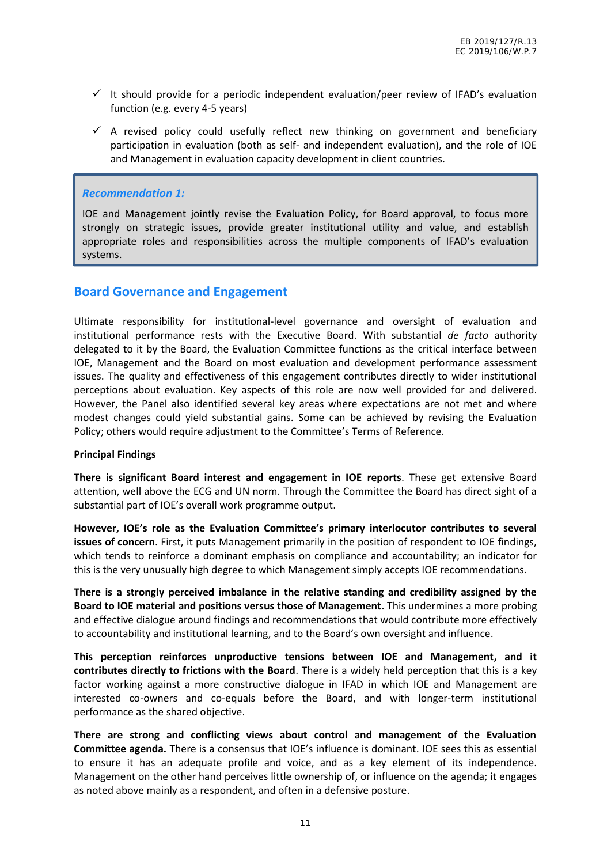- $\checkmark$  It should provide for a periodic independent evaluation/peer review of IFAD's evaluation function (e.g. every 4-5 years)
- $\checkmark$  A revised policy could usefully reflect new thinking on government and beneficiary participation in evaluation (both as self- and independent evaluation), and the role of IOE and Management in evaluation capacity development in client countries.

#### *Recommendation 1:*

IOE and Management jointly revise the Evaluation Policy, for Board approval, to focus more strongly on strategic issues, provide greater institutional utility and value, and establish appropriate roles and responsibilities across the multiple components of IFAD's evaluation systems.

#### **Board Governance and Engagement**

Ultimate responsibility for institutional-level governance and oversight of evaluation and institutional performance rests with the Executive Board. With substantial *de facto* authority delegated to it by the Board, the Evaluation Committee functions as the critical interface between IOE, Management and the Board on most evaluation and development performance assessment issues. The quality and effectiveness of this engagement contributes directly to wider institutional perceptions about evaluation. Key aspects of this role are now well provided for and delivered. However, the Panel also identified several key areas where expectations are not met and where modest changes could yield substantial gains. Some can be achieved by revising the Evaluation Policy; others would require adjustment to the Committee's Terms of Reference.

#### **Principal Findings**

**There is significant Board interest and engagement in IOE reports**. These get extensive Board attention, well above the ECG and UN norm. Through the Committee the Board has direct sight of a substantial part of IOE's overall work programme output.

**However, IOE's role as the Evaluation Committee's primary interlocutor contributes to several issues of concern**. First, it puts Management primarily in the position of respondent to IOE findings, which tends to reinforce a dominant emphasis on compliance and accountability; an indicator for this is the very unusually high degree to which Management simply accepts IOE recommendations.

**There is a strongly perceived imbalance in the relative standing and credibility assigned by the Board to IOE material and positions versus those of Management**. This undermines a more probing and effective dialogue around findings and recommendations that would contribute more effectively to accountability and institutional learning, and to the Board's own oversight and influence.

**This perception reinforces unproductive tensions between IOE and Management, and it contributes directly to frictions with the Board**. There is a widely held perception that this is a key factor working against a more constructive dialogue in IFAD in which IOE and Management are interested co-owners and co-equals before the Board, and with longer-term institutional performance as the shared objective.

**There are strong and conflicting views about control and management of the Evaluation Committee agenda.** There is a consensus that IOE's influence is dominant. IOE sees this as essential to ensure it has an adequate profile and voice, and as a key element of its independence. Management on the other hand perceives little ownership of, or influence on the agenda; it engages as noted above mainly as a respondent, and often in a defensive posture.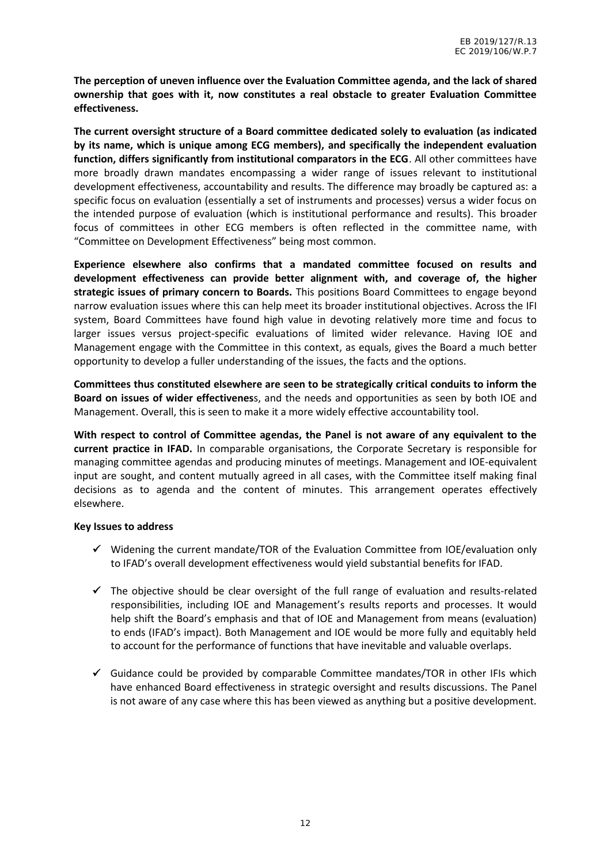**The perception of uneven influence over the Evaluation Committee agenda, and the lack of shared ownership that goes with it, now constitutes a real obstacle to greater Evaluation Committee effectiveness.**

**The current oversight structure of a Board committee dedicated solely to evaluation (as indicated by its name, which is unique among ECG members), and specifically the independent evaluation function, differs significantly from institutional comparators in the ECG**. All other committees have more broadly drawn mandates encompassing a wider range of issues relevant to institutional development effectiveness, accountability and results. The difference may broadly be captured as: a specific focus on evaluation (essentially a set of instruments and processes) versus a wider focus on the intended purpose of evaluation (which is institutional performance and results). This broader focus of committees in other ECG members is often reflected in the committee name, with "Committee on Development Effectiveness" being most common.

**Experience elsewhere also confirms that a mandated committee focused on results and development effectiveness can provide better alignment with, and coverage of, the higher strategic issues of primary concern to Boards.** This positions Board Committees to engage beyond narrow evaluation issues where this can help meet its broader institutional objectives. Across the IFI system, Board Committees have found high value in devoting relatively more time and focus to larger issues versus project-specific evaluations of limited wider relevance. Having IOE and Management engage with the Committee in this context, as equals, gives the Board a much better opportunity to develop a fuller understanding of the issues, the facts and the options.

**Committees thus constituted elsewhere are seen to be strategically critical conduits to inform the Board on issues of wider effectivenes**s, and the needs and opportunities as seen by both IOE and Management. Overall, this is seen to make it a more widely effective accountability tool.

**With respect to control of Committee agendas, the Panel is not aware of any equivalent to the current practice in IFAD.** In comparable organisations, the Corporate Secretary is responsible for managing committee agendas and producing minutes of meetings. Management and IOE-equivalent input are sought, and content mutually agreed in all cases, with the Committee itself making final decisions as to agenda and the content of minutes. This arrangement operates effectively elsewhere.

#### **Key Issues to address**

- $\checkmark$  Widening the current mandate/TOR of the Evaluation Committee from IOE/evaluation only to IFAD's overall development effectiveness would yield substantial benefits for IFAD.
- $\checkmark$  The objective should be clear oversight of the full range of evaluation and results-related responsibilities, including IOE and Management's results reports and processes. It would help shift the Board's emphasis and that of IOE and Management from means (evaluation) to ends (IFAD's impact). Both Management and IOE would be more fully and equitably held to account for the performance of functions that have inevitable and valuable overlaps.
- $\checkmark$  Guidance could be provided by comparable Committee mandates/TOR in other IFIs which have enhanced Board effectiveness in strategic oversight and results discussions. The Panel is not aware of any case where this has been viewed as anything but a positive development.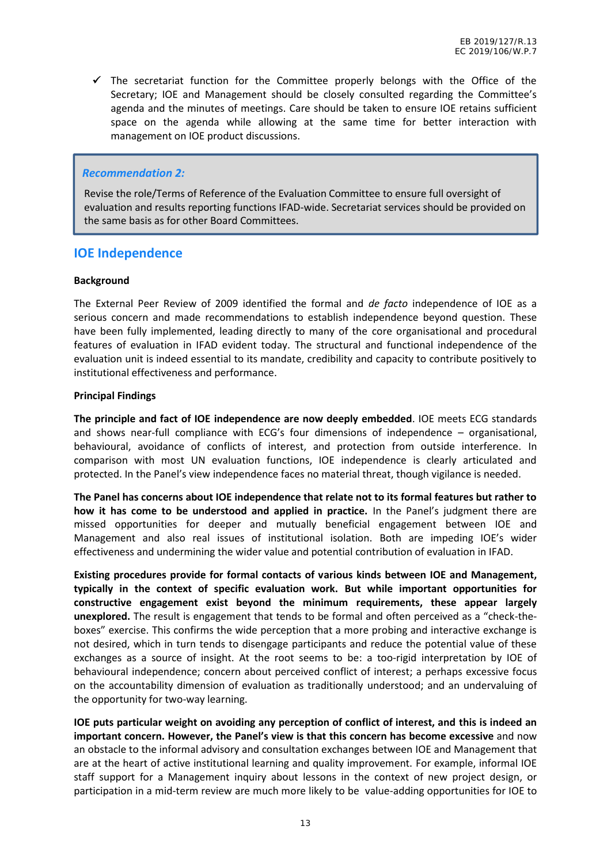$\checkmark$  The secretariat function for the Committee properly belongs with the Office of the Secretary; IOE and Management should be closely consulted regarding the Committee's agenda and the minutes of meetings. Care should be taken to ensure IOE retains sufficient space on the agenda while allowing at the same time for better interaction with management on IOE product discussions.

#### *Recommendation 2:*

Revise the role/Terms of Reference of the Evaluation Committee to ensure full oversight of evaluation and results reporting functions IFAD-wide. Secretariat services should be provided on the same basis as for other Board Committees.

#### **IOE Independence**

#### **Background**

The External Peer Review of 2009 identified the formal and *de facto* independence of IOE as a serious concern and made recommendations to establish independence beyond question. These have been fully implemented, leading directly to many of the core organisational and procedural features of evaluation in IFAD evident today. The structural and functional independence of the evaluation unit is indeed essential to its mandate, credibility and capacity to contribute positively to institutional effectiveness and performance.

#### **Principal Findings**

**The principle and fact of IOE independence are now deeply embedded**. IOE meets ECG standards and shows near-full compliance with ECG's four dimensions of independence – organisational, behavioural, avoidance of conflicts of interest, and protection from outside interference. In comparison with most UN evaluation functions, IOE independence is clearly articulated and protected. In the Panel's view independence faces no material threat, though vigilance is needed.

**The Panel has concerns about IOE independence that relate not to its formal features but rather to how it has come to be understood and applied in practice.** In the Panel's judgment there are missed opportunities for deeper and mutually beneficial engagement between IOE and Management and also real issues of institutional isolation. Both are impeding IOE's wider effectiveness and undermining the wider value and potential contribution of evaluation in IFAD.

**Existing procedures provide for formal contacts of various kinds between IOE and Management, typically in the context of specific evaluation work. But while important opportunities for constructive engagement exist beyond the minimum requirements, these appear largely unexplored.** The result is engagement that tends to be formal and often perceived as a "check-the boxes" exercise. This confirms the wide perception that a more probing and interactive exchange is not desired, which in turn tends to disengage participants and reduce the potential value of these exchanges as a source of insight. At the root seems to be: a too-rigid interpretation by IOE of behavioural independence; concern about perceived conflict of interest; a perhaps excessive focus on the accountability dimension of evaluation as traditionally understood; and an undervaluing of the opportunity for two-way learning.

**IOE puts particular weight on avoiding any perception of conflict of interest, and this is indeed an important concern. However, the Panel's view is that this concern has become excessive** and now an obstacle to the informal advisory and consultation exchanges between IOE and Management that are at the heart of active institutional learning and quality improvement. For example, informal IOE staff support for a Management inquiry about lessons in the context of new project design, or participation in a mid-term review are much more likely to be value-adding opportunities for IOE to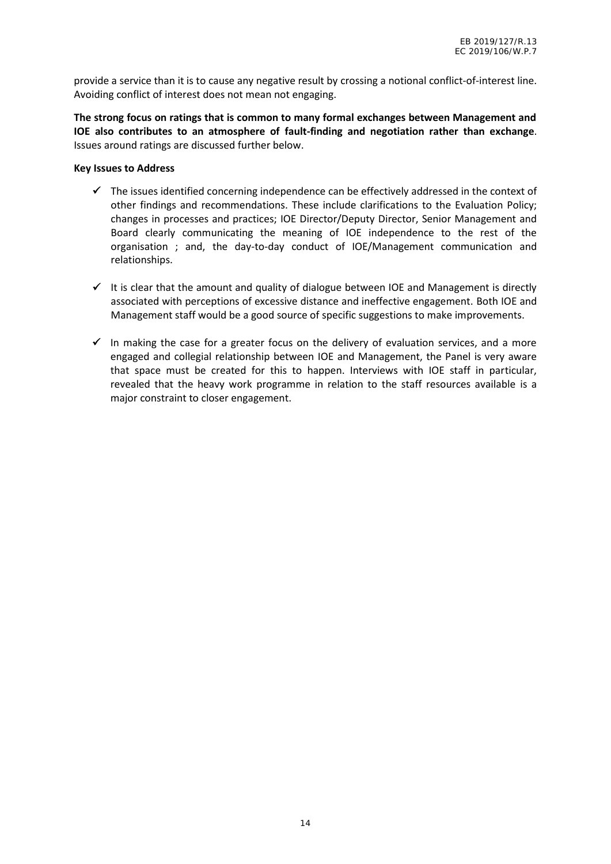provide a service than it is to cause any negative result by crossing a notional conflict-of-interest line. Avoiding conflict of interest does not mean not engaging.

**The strong focus on ratings that is common to many formal exchanges between Management and IOE also contributes to an atmosphere of fault-finding and negotiation rather than exchange**. Issues around ratings are discussed further below.

#### **Key Issues to Address**

- $\checkmark$  The issues identified concerning independence can be effectively addressed in the context of other findings and recommendations. These include clarifications to the Evaluation Policy; changes in processes and practices; IOE Director/Deputy Director, Senior Management and Board clearly communicating the meaning of IOE independence to the rest of the organisation ; and, the day-to-day conduct of IOE/Management communication and relationships.
- $\checkmark$  It is clear that the amount and quality of dialogue between IOE and Management is directly associated with perceptions of excessive distance and ineffective engagement. Both IOE and Management staff would be a good source of specific suggestions to make improvements.
- In making the case for a greater focus on the delivery of evaluation services, and a more engaged and collegial relationship between IOE and Management, the Panel is very aware that space must be created for this to happen. Interviews with IOE staff in particular, revealed that the heavy work programme in relation to the staff resources available is a major constraint to closer engagement.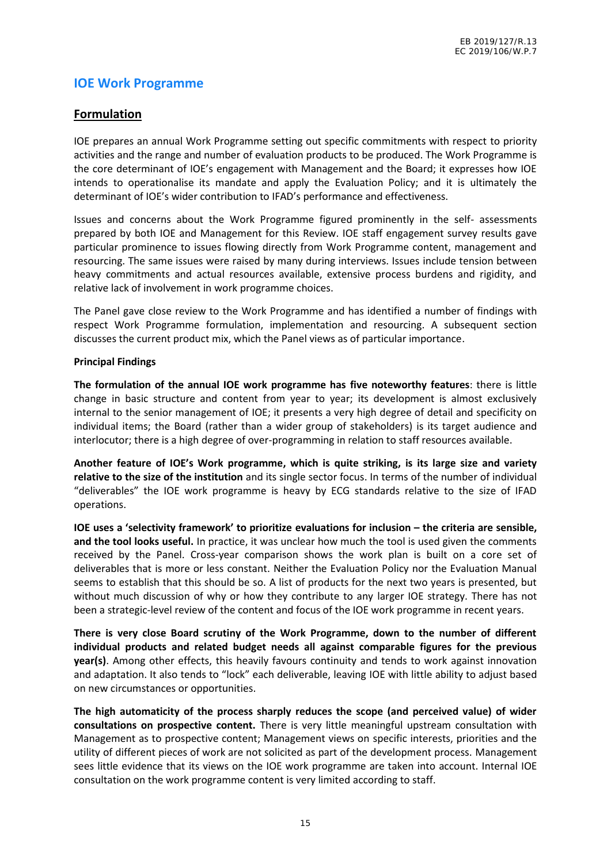## **IOE Work Programme**

#### **Formulation**

IOE prepares an annual Work Programme setting out specific commitments with respect to priority activities and the range and number of evaluation products to be produced. The Work Programme is the core determinant of IOE's engagement with Management and the Board; it expresses how IOE intends to operationalise its mandate and apply the Evaluation Policy; and it is ultimately the determinant of IOE's wider contribution to IFAD's performance and effectiveness.

Issues and concerns about the Work Programme figured prominently in the self- assessments prepared by both IOE and Management for this Review. IOE staff engagement survey results gave particular prominence to issues flowing directly from Work Programme content, management and resourcing. The same issues were raised by many during interviews. Issues include tension between heavy commitments and actual resources available, extensive process burdens and rigidity, and relative lack of involvement in work programme choices.

The Panel gave close review to the Work Programme and has identified a number of findings with respect Work Programme formulation, implementation and resourcing. A subsequent section discusses the current product mix, which the Panel views as of particular importance.

#### **Principal Findings**

**The formulation of the annual IOE work programme has five noteworthy features**: there is little change in basic structure and content from year to year; its development is almost exclusively internal to the senior management of IOE; it presents a very high degree of detail and specificity on individual items; the Board (rather than a wider group of stakeholders) is its target audience and interlocutor; there is a high degree of over-programming in relation to staff resources available.

**Another feature of IOE's Work programme, which is quite striking, is its large size and variety relative to the size of the institution** and its single sector focus. In terms of the number of individual "deliverables" the IOE work programme is heavy by ECG standards relative to the size of IFAD operations.

**IOE uses a 'selectivity framework' to prioritize evaluations for inclusion – the criteria are sensible, and the tool looks useful.** In practice, it was unclear how much the tool is used given the comments received by the Panel. Cross-year comparison shows the work plan is built on a core set of deliverables that is more or less constant. Neither the Evaluation Policy nor the Evaluation Manual seems to establish that this should be so. A list of products for the next two years is presented, but without much discussion of why or how they contribute to any larger IOE strategy. There has not been a strategic-level review of the content and focus of the IOE work programme in recent years.

**There is very close Board scrutiny of the Work Programme, down to the number of different individual products and related budget needs all against comparable figures for the previous year(s)**. Among other effects, this heavily favours continuity and tends to work against innovation and adaptation. It also tends to "lock" each deliverable, leaving IOE with little ability to adjust based on new circumstances or opportunities.

**The high automaticity of the process sharply reduces the scope (and perceived value) of wider consultations on prospective content.** There is very little meaningful upstream consultation with Management as to prospective content; Management views on specific interests, priorities and the utility of different pieces of work are not solicited as part of the development process. Management sees little evidence that its views on the IOE work programme are taken into account. Internal IOE consultation on the work programme content is very limited according to staff.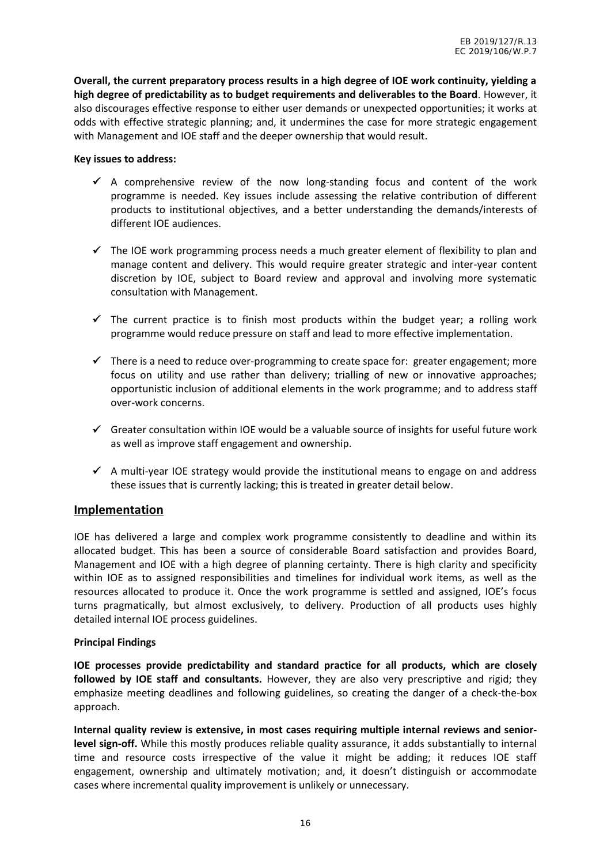**Overall, the current preparatory process results in a high degree of IOE work continuity, yielding a high degree of predictability as to budget requirements and deliverables to the Board**. However, it also discourages effective response to either user demands or unexpected opportunities; it works at odds with effective strategic planning; and, it undermines the case for more strategic engagement with Management and IOE staff and the deeper ownership that would result.

#### **Key issues to address:**

- $\checkmark$  A comprehensive review of the now long-standing focus and content of the work programme is needed. Key issues include assessing the relative contribution of different products to institutional objectives, and a better understanding the demands/interests of different IOE audiences.
- $\checkmark$  The IOE work programming process needs a much greater element of flexibility to plan and manage content and delivery. This would require greater strategic and inter-year content discretion by IOE, subject to Board review and approval and involving more systematic consultation with Management.
- $\checkmark$  The current practice is to finish most products within the budget year; a rolling work programme would reduce pressure on staff and lead to more effective implementation.
- $\checkmark$  There is a need to reduce over-programming to create space for: greater engagement; more focus on utility and use rather than delivery; trialling of new or innovative approaches; opportunistic inclusion of additional elements in the work programme; and to address staff over-work concerns.
- $\checkmark$  Greater consultation within IOE would be a valuable source of insights for useful future work as well as improve staff engagement and ownership.
- $\checkmark$  A multi-year IOE strategy would provide the institutional means to engage on and address these issues that is currently lacking; this is treated in greater detail below.

#### **Implementation**

IOE has delivered a large and complex work programme consistently to deadline and within its allocated budget. This has been a source of considerable Board satisfaction and provides Board, Management and IOE with a high degree of planning certainty. There is high clarity and specificity within IOE as to assigned responsibilities and timelines for individual work items, as well as the resources allocated to produce it. Once the work programme is settled and assigned, IOE's focus turns pragmatically, but almost exclusively, to delivery. Production of all products uses highly detailed internal IOE process guidelines.

#### **Principal Findings**

**IOE processes provide predictability and standard practice for all products, which are closely followed by IOE staff and consultants.** However, they are also very prescriptive and rigid; they emphasize meeting deadlines and following guidelines, so creating the danger of a check-the-box approach.

**Internal quality review is extensive, in most cases requiring multiple internal reviews and seniorlevel sign-off.** While this mostly produces reliable quality assurance, it adds substantially to internal time and resource costs irrespective of the value it might be adding; it reduces IOE staff engagement, ownership and ultimately motivation; and, it doesn't distinguish or accommodate cases where incremental quality improvement is unlikely or unnecessary.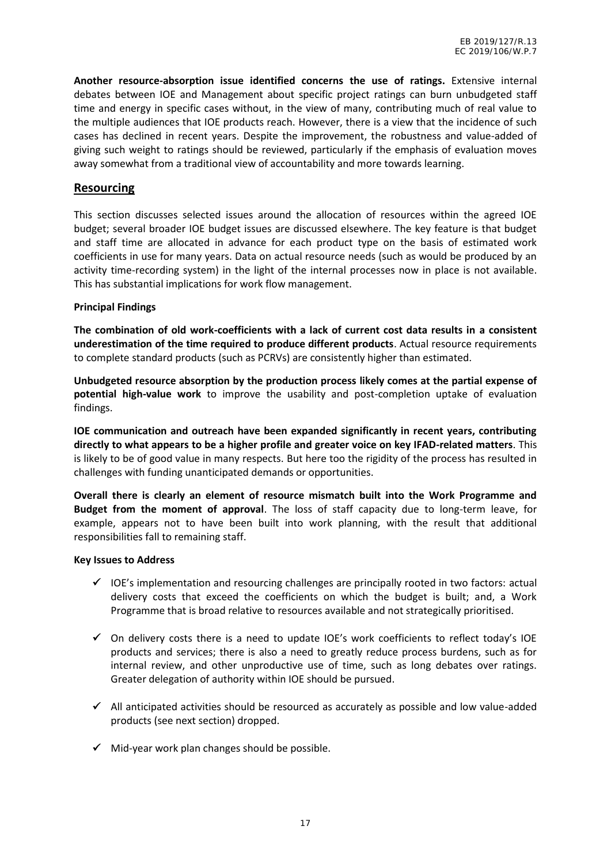**Another resource-absorption issue identified concerns the use of ratings.** Extensive internal debates between IOE and Management about specific project ratings can burn unbudgeted staff time and energy in specific cases without, in the view of many, contributing much of real value to the multiple audiences that IOE products reach. However, there is a view that the incidence of such cases has declined in recent years. Despite the improvement, the robustness and value-added of giving such weight to ratings should be reviewed, particularly if the emphasis of evaluation moves away somewhat from a traditional view of accountability and more towards learning.

#### **Resourcing**

This section discusses selected issues around the allocation of resources within the agreed IOE budget; several broader IOE budget issues are discussed elsewhere. The key feature is that budget and staff time are allocated in advance for each product type on the basis of estimated work coefficients in use for many years. Data on actual resource needs (such as would be produced by an activity time-recording system) in the light of the internal processes now in place is not available. This has substantial implications for work flow management.

#### **Principal Findings**

**The combination of old work-coefficients with a lack of current cost data results in a consistent underestimation of the time required to produce different products**. Actual resource requirements to complete standard products (such as PCRVs) are consistently higher than estimated.

**Unbudgeted resource absorption by the production process likely comes at the partial expense of potential high-value work** to improve the usability and post-completion uptake of evaluation findings.

**IOE communication and outreach have been expanded significantly in recent years, contributing directly to what appears to be a higher profile and greater voice on key IFAD-related matters**. This is likely to be of good value in many respects. But here too the rigidity of the process has resulted in challenges with funding unanticipated demands or opportunities.

**Overall there is clearly an element of resource mismatch built into the Work Programme and Budget from the moment of approval**. The loss of staff capacity due to long-term leave, for example, appears not to have been built into work planning, with the result that additional responsibilities fall to remaining staff.

#### **Key Issues to Address**

- $\checkmark$  IOE's implementation and resourcing challenges are principally rooted in two factors: actual delivery costs that exceed the coefficients on which the budget is built; and, a Work Programme that is broad relative to resources available and not strategically prioritised.
- $\checkmark$  On delivery costs there is a need to update IOE's work coefficients to reflect today's IOE products and services; there is also a need to greatly reduce process burdens, such as for internal review, and other unproductive use of time, such as long debates over ratings. Greater delegation of authority within IOE should be pursued.
- $\checkmark$  All anticipated activities should be resourced as accurately as possible and low value-added products (see next section) dropped.
- $\checkmark$  Mid-year work plan changes should be possible.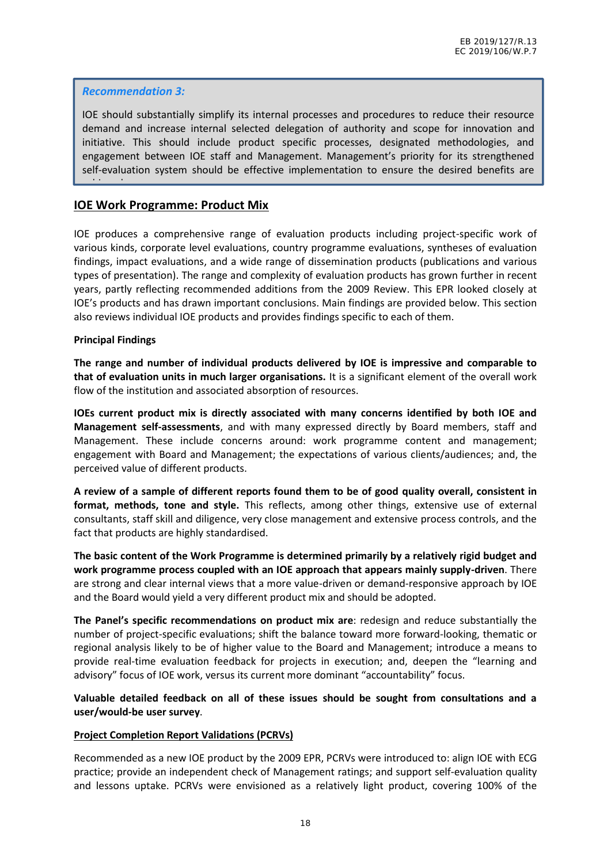#### *Recommendation 3:*

IOE should substantially simplify its internal processes and procedures to reduce their resource demand and increase internal selected delegation of authority and scope for innovation and initiative. This should include product specific processes, designated methodologies, and engagement between IOE staff and Management. Management's priority for its strengthened self-evaluation system should be effective implementation to ensure the desired benefits are

#### **IOE Work Programme: Product Mix**

IOE produces a comprehensive range of evaluation products including project-specific work of various kinds, corporate level evaluations, country programme evaluations, syntheses of evaluation findings, impact evaluations, and a wide range of dissemination products (publications and various types of presentation). The range and complexity of evaluation products has grown further in recent years, partly reflecting recommended additions from the 2009 Review. This EPR looked closely at IOE's products and has drawn important conclusions. Main findings are provided below. This section also reviews individual IOE products and provides findings specific to each of them.

#### **Principal Findings**

achieved.

**The range and number of individual products delivered by IOE is impressive and comparable to that of evaluation units in much larger organisations.** It is a significant element of the overall work flow of the institution and associated absorption of resources.

**IOEs current product mix is directly associated with many concerns identified by both IOE and Management self-assessments**, and with many expressed directly by Board members, staff and Management. These include concerns around: work programme content and management; engagement with Board and Management; the expectations of various clients/audiences; and, the perceived value of different products.

**A review of a sample of different reports found them to be of good quality overall, consistent in format, methods, tone and style.** This reflects, among other things, extensive use of external consultants, staff skill and diligence, very close management and extensive process controls, and the fact that products are highly standardised.

**The basic content of the Work Programme is determined primarily by a relatively rigid budget and work programme process coupled with an IOE approach that appears mainly supply-driven**. There are strong and clear internal views that a more value-driven or demand-responsive approach by IOE and the Board would yield a very different product mix and should be adopted.

**The Panel's specific recommendations on product mix are**: redesign and reduce substantially the number of project-specific evaluations; shift the balance toward more forward-looking, thematic or regional analysis likely to be of higher value to the Board and Management; introduce a means to provide real-time evaluation feedback for projects in execution; and, deepen the "learning and advisory" focus of IOE work, versus its current more dominant "accountability" focus.

**Valuable detailed feedback on all of these issues should be sought from consultations and a user/would-be user survey**.

#### **Project Completion Report Validations (PCRVs)**

Recommended as a new IOE product by the 2009 EPR, PCRVs were introduced to: align IOE with ECG practice; provide an independent check of Management ratings; and support self-evaluation quality and lessons uptake. PCRVs were envisioned as a relatively light product, covering 100% of the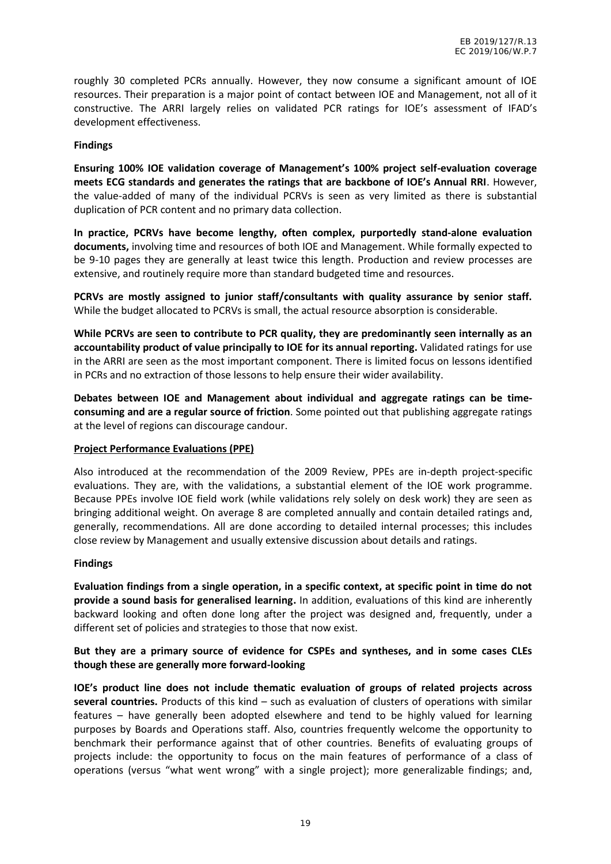roughly 30 completed PCRs annually. However, they now consume a significant amount of IOE resources. Their preparation is a major point of contact between IOE and Management, not all of it constructive. The ARRI largely relies on validated PCR ratings for IOE's assessment of IFAD's development effectiveness.

#### **Findings**

**Ensuring 100% IOE validation coverage of Management's 100% project self-evaluation coverage meets ECG standards and generates the ratings that are backbone of IOE's Annual RRI**. However, the value-added of many of the individual PCRVs is seen as very limited as there is substantial duplication of PCR content and no primary data collection.

**In practice, PCRVs have become lengthy, often complex, purportedly stand-alone evaluation documents,** involving time and resources of both IOE and Management. While formally expected to be 9-10 pages they are generally at least twice this length. Production and review processes are extensive, and routinely require more than standard budgeted time and resources.

**PCRVs are mostly assigned to junior staff/consultants with quality assurance by senior staff.** While the budget allocated to PCRVs is small, the actual resource absorption is considerable.

**While PCRVs are seen to contribute to PCR quality, they are predominantly seen internally as an accountability product of value principally to IOE for its annual reporting.** Validated ratings for use in the ARRI are seen as the most important component. There is limited focus on lessons identified in PCRs and no extraction of those lessons to help ensure their wider availability.

**Debates between IOE and Management about individual and aggregate ratings can be time consuming and are a regular source of friction**. Some pointed out that publishing aggregate ratings at the level of regions can discourage candour.

#### **Project Performance Evaluations (PPE)**

Also introduced at the recommendation of the 2009 Review, PPEs are in-depth project-specific evaluations. They are, with the validations, a substantial element of the IOE work programme. Because PPEs involve IOE field work (while validations rely solely on desk work) they are seen as bringing additional weight. On average 8 are completed annually and contain detailed ratings and, generally, recommendations. All are done according to detailed internal processes; this includes close review by Management and usually extensive discussion about details and ratings.

#### **Findings**

**Evaluation findings from a single operation, in a specific context, at specific point in time do not provide a sound basis for generalised learning.** In addition, evaluations of this kind are inherently backward looking and often done long after the project was designed and, frequently, under a different set of policies and strategies to those that now exist.

#### **But they are a primary source of evidence for CSPEs and syntheses, and in some cases CLEs though these are generally more forward-looking**

**IOE's product line does not include thematic evaluation of groups of related projects across several countries.** Products of this kind – such as evaluation of clusters of operations with similar features – have generally been adopted elsewhere and tend to be highly valued for learning purposes by Boards and Operations staff. Also, countries frequently welcome the opportunity to benchmark their performance against that of other countries. Benefits of evaluating groups of projects include: the opportunity to focus on the main features of performance of a class of operations (versus "what went wrong" with a single project); more generalizable findings; and,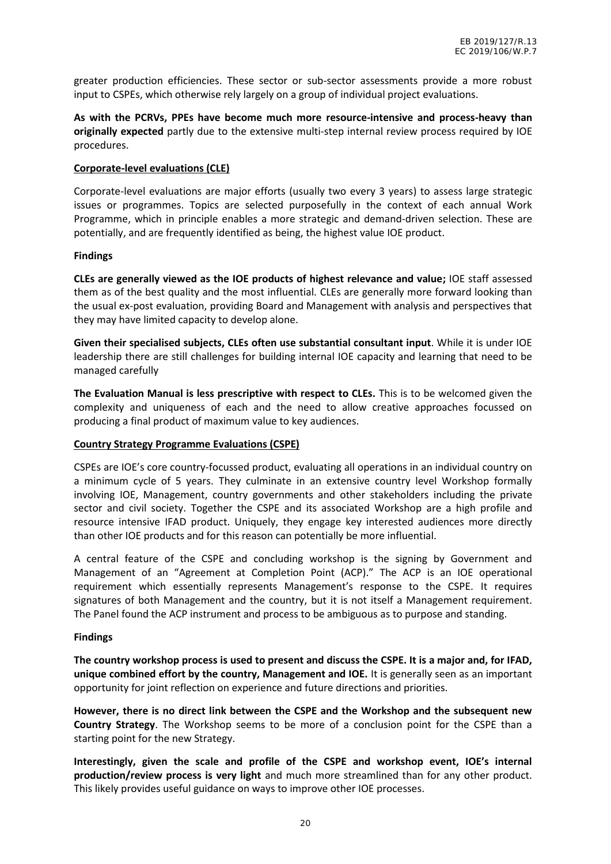greater production efficiencies. These sector or sub-sector assessments provide a more robust input to CSPEs, which otherwise rely largely on a group of individual project evaluations.

**As with the PCRVs, PPEs have become much more resource-intensive and process-heavy than originally expected** partly due to the extensive multi-step internal review process required by IOE procedures.

#### **Corporate-level evaluations (CLE)**

Corporate-level evaluations are major efforts (usually two every 3 years) to assess large strategic issues or programmes. Topics are selected purposefully in the context of each annual Work Programme, which in principle enables a more strategic and demand-driven selection. These are potentially, and are frequently identified as being, the highest value IOE product.

#### **Findings**

**CLEs are generally viewed as the IOE products of highest relevance and value;** IOE staff assessed them as of the best quality and the most influential. CLEs are generally more forward looking than the usual ex-post evaluation, providing Board and Management with analysis and perspectives that they may have limited capacity to develop alone.

**Given their specialised subjects, CLEs often use substantial consultant input**. While it is under IOE leadership there are still challenges for building internal IOE capacity and learning that need to be managed carefully

**The Evaluation Manual is less prescriptive with respect to CLEs.** This is to be welcomed given the complexity and uniqueness of each and the need to allow creative approaches focussed on producing a final product of maximum value to key audiences.

#### **Country Strategy Programme Evaluations (CSPE)**

CSPEs are IOE's core country-focussed product, evaluating all operations in an individual country on a minimum cycle of 5 years. They culminate in an extensive country level Workshop formally involving IOE, Management, country governments and other stakeholders including the private sector and civil society. Together the CSPE and its associated Workshop are a high profile and resource intensive IFAD product. Uniquely, they engage key interested audiences more directly than other IOE products and for this reason can potentially be more influential.

A central feature of the CSPE and concluding workshop is the signing by Government and Management of an "Agreement at Completion Point (ACP)." The ACP is an IOE operational requirement which essentially represents Management's response to the CSPE. It requires signatures of both Management and the country, but it is not itself a Management requirement. The Panel found the ACP instrument and process to be ambiguous as to purpose and standing.

#### **Findings**

**The country workshop process is used to present and discuss the CSPE. It is a major and, for IFAD, unique combined effort by the country, Management and IOE.** It is generally seen as an important opportunity for joint reflection on experience and future directions and priorities.

**However, there is no direct link between the CSPE and the Workshop and the subsequent new Country Strategy**. The Workshop seems to be more of a conclusion point for the CSPE than a starting point for the new Strategy.

**Interestingly, given the scale and profile of the CSPE and workshop event, IOE's internal production/review process is very light** and much more streamlined than for any other product. This likely provides useful guidance on ways to improve other IOE processes.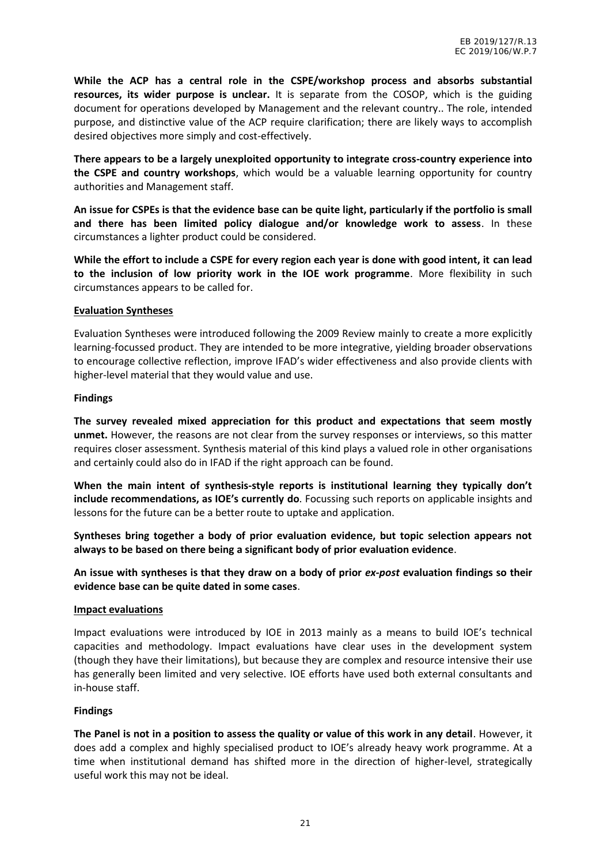**While the ACP has a central role in the CSPE/workshop process and absorbs substantial resources, its wider purpose is unclear.** It is separate from the COSOP, which is the guiding document for operations developed by Management and the relevant country.. The role, intended purpose, and distinctive value of the ACP require clarification; there are likely ways to accomplish desired objectives more simply and cost-effectively.

**There appears to be a largely unexploited opportunity to integrate cross-country experience into the CSPE and country workshops**, which would be a valuable learning opportunity for country authorities and Management staff.

**An issue for CSPEs is that the evidence base can be quite light, particularly if the portfolio is small and there has been limited policy dialogue and/or knowledge work to assess**. In these circumstances a lighter product could be considered.

**While the effort to include a CSPE for every region each year is done with good intent, it can lead to the inclusion of low priority work in the IOE work programme**. More flexibility in such circumstances appears to be called for.

#### **Evaluation Syntheses**

Evaluation Syntheses were introduced following the 2009 Review mainly to create a more explicitly learning-focussed product. They are intended to be more integrative, yielding broader observations to encourage collective reflection, improve IFAD's wider effectiveness and also provide clients with higher-level material that they would value and use.

#### **Findings**

**The survey revealed mixed appreciation for this product and expectations that seem mostly unmet.** However, the reasons are not clear from the survey responses or interviews, so this matter requires closer assessment. Synthesis material of this kind plays a valued role in other organisations and certainly could also do in IFAD if the right approach can be found.

**When the main intent of synthesis-style reports is institutional learning they typically don't include recommendations, as IOE's currently do**.Focussing such reports on applicable insights and lessons for the future can be a better route to uptake and application.

**Syntheses bring together a body of prior evaluation evidence, but topic selection appears not always to be based on there being a significant body of prior evaluation evidence**.

**An issue with syntheses is that they draw on a body of prior** *ex-post* **evaluation findings so their evidence base can be quite dated in some cases**.

#### **Impact evaluations**

Impact evaluations were introduced by IOE in 2013 mainly as a means to build IOE's technical capacities and methodology. Impact evaluations have clear uses in the development system (though they have their limitations), but because they are complex and resource intensive their use has generally been limited and very selective. IOE efforts have used both external consultants and in-house staff.

#### **Findings**

**The Panel is not in a position to assess the quality or value of this work in any detail**. However, it does add a complex and highly specialised product to IOE's already heavy work programme. At a time when institutional demand has shifted more in the direction of higher-level, strategically useful work this may not be ideal.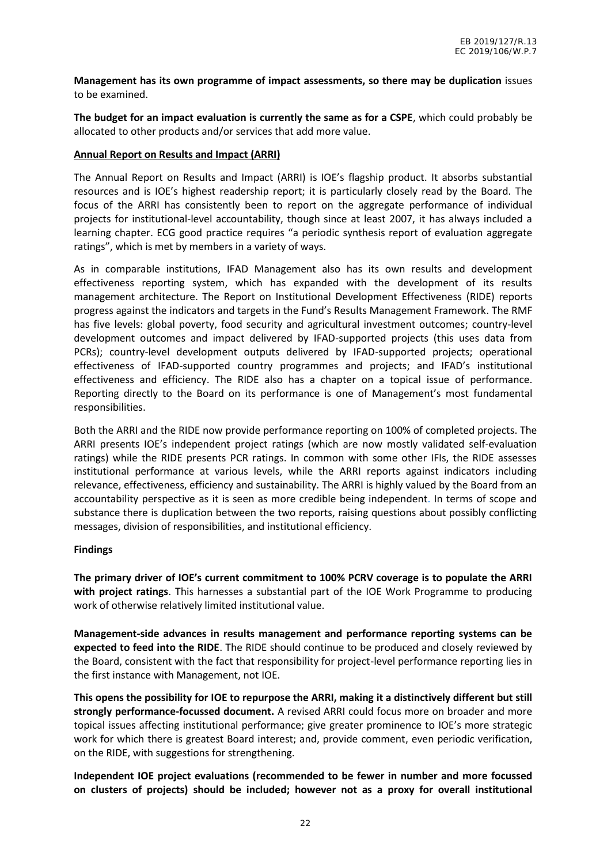**Management has its own programme of impact assessments, so there may be duplication** issues to be examined.

**The budget for an impact evaluation is currently the same as for a CSPE**, which could probably be allocated to other products and/or services that add more value.

#### **Annual Report on Results and Impact (ARRI)**

The Annual Report on Results and Impact (ARRI) is IOE's flagship product. It absorbs substantial resources and is IOE's highest readership report; it is particularly closely read by the Board. The focus of the ARRI has consistently been to report on the aggregate performance of individual projects for institutional-level accountability, though since at least 2007, it has always included a learning chapter. ECG good practice requires "a periodic synthesis report of evaluation aggregate ratings", which is met by members in a variety of ways.

As in comparable institutions, IFAD Management also has its own results and development effectiveness reporting system, which has expanded with the development of its results management architecture. The Report on Institutional Development Effectiveness (RIDE) reports progress against the indicators and targets in the Fund's Results Management Framework. The RMF has five levels: global poverty, food security and agricultural investment outcomes; country-level development outcomes and impact delivered by IFAD-supported projects (this uses data from PCRs); country-level development outputs delivered by IFAD-supported projects; operational effectiveness of IFAD-supported country programmes and projects; and IFAD's institutional effectiveness and efficiency. The RIDE also has a chapter on a topical issue of performance. Reporting directly to the Board on its performance is one of Management's most fundamental responsibilities.

Both the ARRI and the RIDE now provide performance reporting on 100% of completed projects. The ARRI presents IOE's independent project ratings (which are now mostly validated self-evaluation ratings) while the RIDE presents PCR ratings. In common with some other IFIs, the RIDE assesses institutional performance at various levels, while the ARRI reports against indicators including relevance, effectiveness, efficiency and sustainability. The ARRI is highly valued by the Board from an accountability perspective as it is seen as more credible being independent. In terms of scope and substance there is duplication between the two reports, raising questions about possibly conflicting messages, division of responsibilities, and institutional efficiency.

#### **Findings**

**The primary driver of IOE's current commitment to 100% PCRV coverage is to populate the ARRI with project ratings**. This harnesses a substantial part of the IOE Work Programme to producing work of otherwise relatively limited institutional value.

**Management-side advances in results management and performance reporting systems can be expected to feed into the RIDE**. The RIDE should continue to be produced and closely reviewed by the Board, consistent with the fact that responsibility for project-level performance reporting lies in the first instance with Management, not IOE.

**This opens the possibility for IOE to repurpose the ARRI, making it a distinctively different but still strongly performance-focussed document.** A revised ARRI could focus more on broader and more topical issues affecting institutional performance; give greater prominence to IOE's more strategic work for which there is greatest Board interest; and, provide comment, even periodic verification, on the RIDE, with suggestions for strengthening.

**Independent IOE project evaluations (recommended to be fewer in number and more focussed on clusters of projects) should be included; however not as a proxy for overall institutional**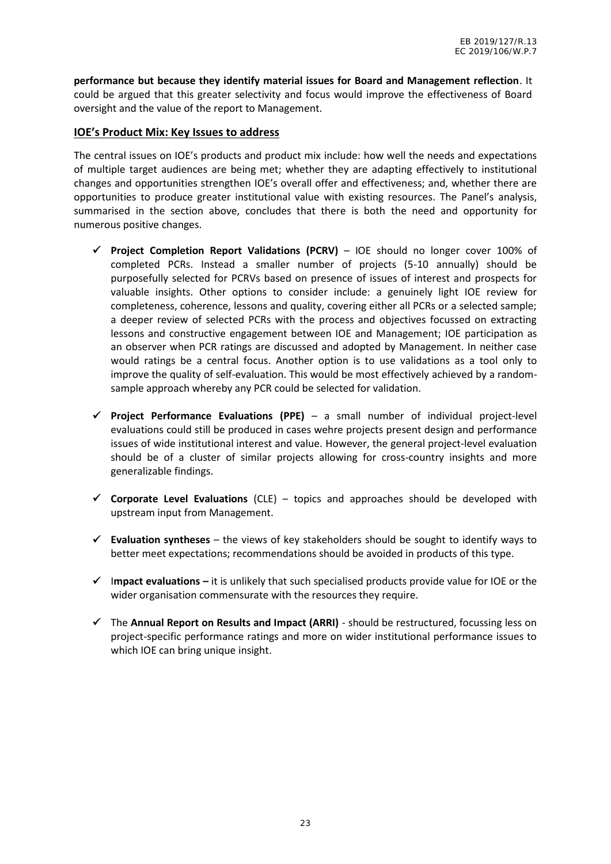**performance but because they identify material issues for Board and Management reflection**. It could be argued that this greater selectivity and focus would improve the effectiveness of Board oversight and the value of the report to Management.

#### **IOE's Product Mix: Key Issues to address**

The central issues on IOE's products and product mix include: how well the needs and expectations of multiple target audiences are being met; whether they are adapting effectively to institutional changes and opportunities strengthen IOE's overall offer and effectiveness; and, whether there are opportunities to produce greater institutional value with existing resources. The Panel's analysis, summarised in the section above, concludes that there is both the need and opportunity for numerous positive changes.

- **Project Completion Report Validations (PCRV)** IOE should no longer cover 100% of completed PCRs. Instead a smaller number of projects (5-10 annually) should be purposefully selected for PCRVs based on presence of issues of interest and prospects for valuable insights. Other options to consider include: a genuinely light IOE review for completeness, coherence, lessons and quality, covering either all PCRs or a selected sample; a deeper review of selected PCRs with the process and objectives focussed on extracting lessons and constructive engagement between IOE and Management; IOE participation as an observer when PCR ratings are discussed and adopted by Management. In neither case would ratings be a central focus. Another option is to use validations as a tool only to improve the quality of self-evaluation. This would be most effectively achieved by a random sample approach whereby any PCR could be selected for validation.
- **Project Performance Evaluations (PPE)** a small number of individual project-level evaluations could still be produced in cases wehre projects present design and performance issues of wide institutional interest and value. However, the general project-level evaluation should be of a cluster of similar projects allowing for cross-country insights and more generalizable findings.
- **Corporate Level Evaluations** (CLE) topics and approaches should be developed with upstream input from Management.
- **Evaluation syntheses** the views of key stakeholders should be sought to identify ways to better meet expectations; recommendations should be avoided in products of this type.
- I**mpact evaluations –** it is unlikely that such specialised products provide value for IOE or the wider organisation commensurate with the resources they require.
- $\checkmark$  The **Annual Report on Results and Impact (ARRI)** should be restructured, focussing less on project-specific performance ratings and more on wider institutional performance issues to which IOE can bring unique insight.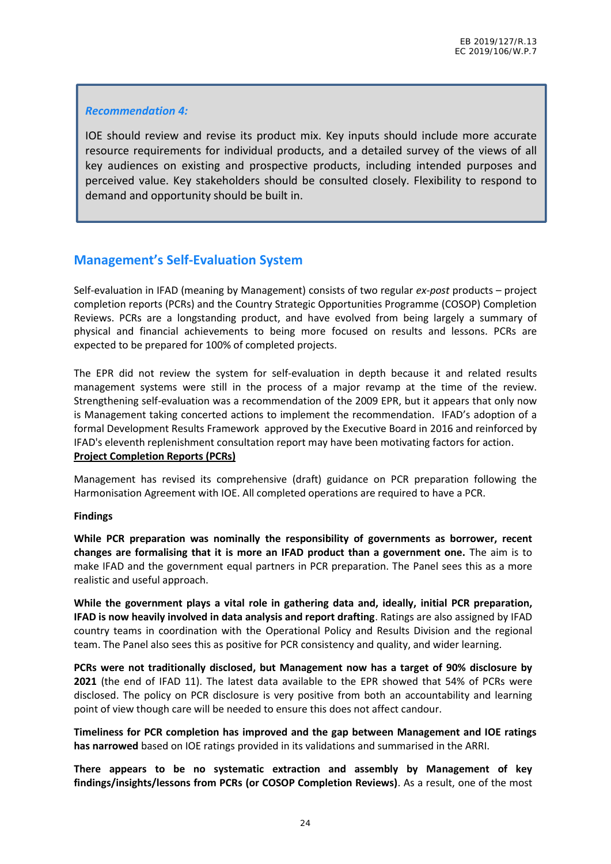#### *Recommendation 4:*

IOE should review and revise its product mix. Key inputs should include more accurate resource requirements for individual products, and a detailed survey of the views of all key audiences on existing and prospective products, including intended purposes and perceived value. Key stakeholders should be consulted closely. Flexibility to respond to demand and opportunity should be built in.

## **Management's Self-Evaluation System**

Self-evaluation in IFAD (meaning by Management) consists of two regular *ex-post* products – project completion reports (PCRs) and the Country Strategic Opportunities Programme (COSOP) Completion Reviews. PCRs are a longstanding product, and have evolved from being largely a summary of physical and financial achievements to being more focused on results and lessons. PCRs are expected to be prepared for 100% of completed projects.

The EPR did not review the system for self-evaluation in depth because it and related results management systems were still in the process of a major revamp at the time of the review. Strengthening self-evaluation was a recommendation of the 2009 EPR, but it appears that only now is Management taking concerted actions to implement the recommendation. IFAD's adoption of a formal Development Results Framework approved by the Executive Board in 2016 and reinforced by IFAD's eleventh replenishment consultation report may have been motivating factors for action. **Project Completion Reports (PCRs)**

Management has revised its comprehensive (draft) guidance on PCR preparation following the Harmonisation Agreement with IOE. All completed operations are required to have a PCR.

#### **Findings**

**While PCR preparation was nominally the responsibility of governments as borrower, recent changes are formalising that it is more an IFAD product than a government one.** The aim is to make IFAD and the government equal partners in PCR preparation. The Panel sees this as a more realistic and useful approach.

**While the government plays a vital role in gathering data and, ideally, initial PCR preparation, IFAD is now heavily involved in data analysis and report drafting**. Ratings are also assigned by IFAD country teams in coordination with the Operational Policy and Results Division and the regional team. The Panel also sees this as positive for PCR consistency and quality, and wider learning.

**PCRs were not traditionally disclosed, but Management now has a target of 90% disclosure by 2021** (the end of IFAD 11). The latest data available to the EPR showed that 54% of PCRs were disclosed. The policy on PCR disclosure is very positive from both an accountability and learning point of view though care will be needed to ensure this does not affect candour.

**Timeliness for PCR completion has improved and the gap between Management and IOE ratings has narrowed** based on IOE ratings provided in its validations and summarised in the ARRI.

**There appears to be no systematic extraction and assembly by Management of key findings/insights/lessons from PCRs (or COSOP Completion Reviews)**. As a result, one of the most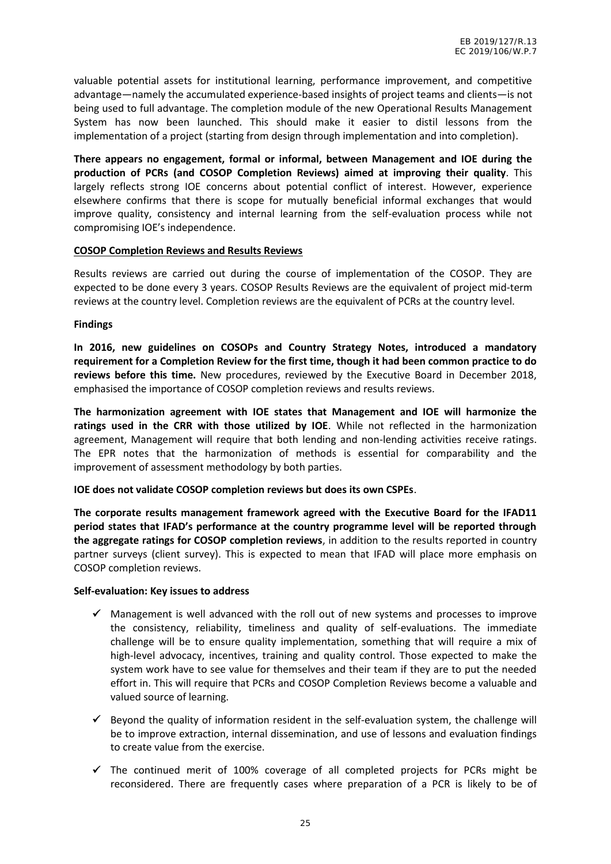valuable potential assets for institutional learning, performance improvement, and competitive advantage—namely the accumulated experience-based insights of project teams and clients—is not being used to full advantage. The completion module of the new Operational Results Management System has now been launched. This should make it easier to distil lessons from the implementation of a project (starting from design through implementation and into completion).

**There appears no engagement, formal or informal, between Management and IOE during the production of PCRs (and COSOP Completion Reviews) aimed at improving their quality**. This largely reflects strong IOE concerns about potential conflict of interest. However, experience elsewhere confirms that there is scope for mutually beneficial informal exchanges that would improve quality, consistency and internal learning from the self-evaluation process while not compromising IOE's independence.

#### **COSOP Completion Reviews and Results Reviews**

Results reviews are carried out during the course of implementation of the COSOP. They are expected to be done every 3 years. COSOP Results Reviews are the equivalent of project mid-term reviews at the country level. Completion reviews are the equivalent of PCRs at the country level.

#### **Findings**

**In 2016, new guidelines on COSOPs and Country Strategy Notes, introduced a mandatory requirement for a Completion Review for the first time, though it had been common practice to do reviews before this time.** New procedures, reviewed by the Executive Board in December 2018, emphasised the importance of COSOP completion reviews and results reviews.

**The harmonization agreement with IOE states that Management and IOE will harmonize the ratings used in the CRR with those utilized by IOE**. While not reflected in the harmonization agreement, Management will require that both lending and non-lending activities receive ratings. The EPR notes that the harmonization of methods is essential for comparability and the improvement of assessment methodology by both parties.

**IOE does not validate COSOP completion reviews but does its own CSPEs**.

**The corporate results management framework agreed with the Executive Board for the IFAD11 period states that IFAD's performance at the country programme level will be reported through the aggregate ratings for COSOP completion reviews**, in addition to the results reported in country partner surveys (client survey). This is expected to mean that IFAD will place more emphasis on COSOP completion reviews.

#### **Self-evaluation: Key issues to address**

- $\checkmark$  Management is well advanced with the roll out of new systems and processes to improve the consistency, reliability, timeliness and quality of self-evaluations. The immediate challenge will be to ensure quality implementation, something that will require a mix of high-level advocacy, incentives, training and quality control. Those expected to make the system work have to see value for themselves and their team if they are to put the needed effort in. This will require that PCRs and COSOP Completion Reviews become a valuable and valued source of learning.
- $\checkmark$  Beyond the quality of information resident in the self-evaluation system, the challenge will be to improve extraction, internal dissemination, and use of lessons and evaluation findings to create value from the exercise.
- $\checkmark$  The continued merit of 100% coverage of all completed projects for PCRs might be reconsidered. There are frequently cases where preparation of a PCR is likely to be of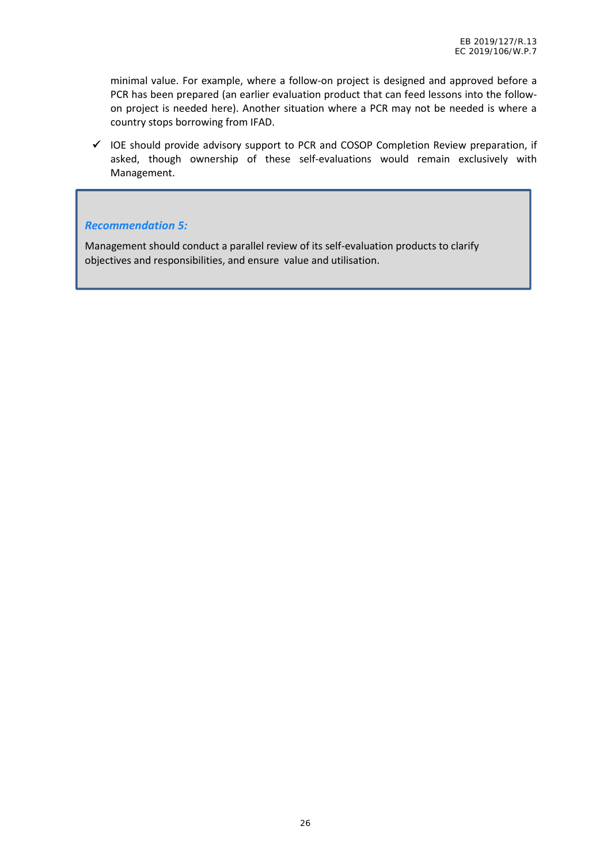minimal value. For example, where a follow-on project is designed and approved before a PCR has been prepared (an earlier evaluation product that can feed lessons into the follow on project is needed here). Another situation where a PCR may not be needed is where a country stops borrowing from IFAD.

 $\checkmark$  IOE should provide advisory support to PCR and COSOP Completion Review preparation, if asked, though ownership of these self-evaluations would remain exclusively with Management.

#### *Recommendation 5:*

Management should conduct a parallel review of its self-evaluation products to clarify objectives and responsibilities, and ensure value and utilisation.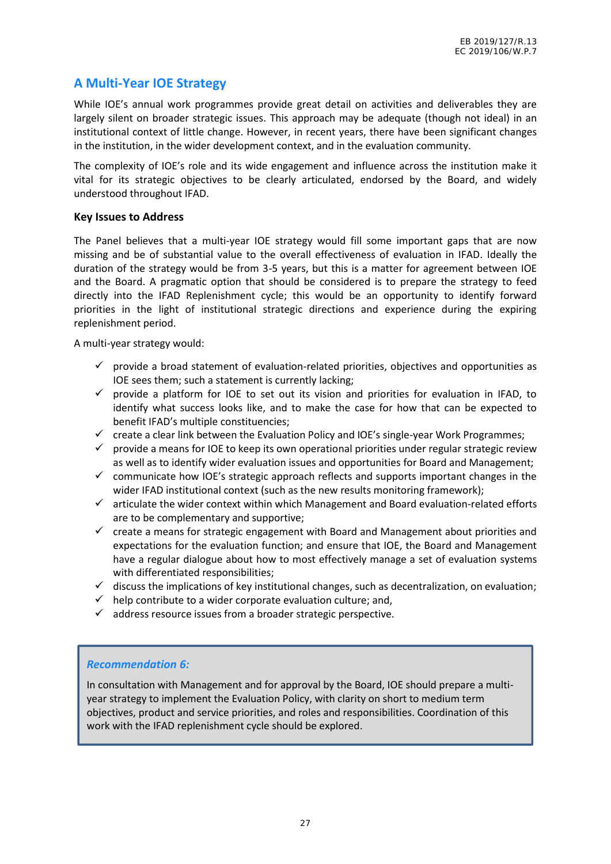## **A Multi-Year IOE Strategy**

While IOE's annual work programmes provide great detail on activities and deliverables they are largely silent on broader strategic issues. This approach may be adequate (though not ideal) in an institutional context of little change. However, in recent years, there have been significant changes in the institution, in the wider development context, and in the evaluation community.

The complexity of IOE's role and its wide engagement and influence across the institution make it vital for its strategic objectives to be clearly articulated, endorsed by the Board, and widely understood throughout IFAD.

#### **Key Issues to Address**

The Panel believes that a multi-year IOE strategy would fill some important gaps that are now missing and be of substantial value to the overall effectiveness of evaluation in IFAD. Ideally the duration of the strategy would be from 3-5 years, but this is a matter for agreement between IOE and the Board. A pragmatic option that should be considered is to prepare the strategy to feed directly into the IFAD Replenishment cycle; this would be an opportunity to identify forward priorities in the light of institutional strategic directions and experience during the expiring replenishment period.

A multi-year strategy would:

- $\checkmark$  provide a broad statement of evaluation-related priorities, objectives and opportunities as IOE sees them; such a statement is currently lacking;
- $\checkmark$  provide a platform for IOE to set out its vision and priorities for evaluation in IFAD, to identify what success looks like, and to make the case for how that can be expected to benefit IFAD's multiple constituencies;
- $\checkmark$  create a clear link between the Evaluation Policy and IOE's single-year Work Programmes;
- $\checkmark$  provide a means for IOE to keep its own operational priorities under regular strategic review as well as to identify wider evaluation issues and opportunities for Board and Management;
- $\checkmark$  communicate how IOE's strategic approach reflects and supports important changes in the wider IFAD institutional context (such as the new results monitoring framework);
- $\checkmark$  articulate the wider context within which Management and Board evaluation-related efforts are to be complementary and supportive;
- $\checkmark$  create a means for strategic engagement with Board and Management about priorities and expectations for the evaluation function; and ensure that IOE, the Board and Management have a regular dialogue about how to most effectively manage a set of evaluation systems with differentiated responsibilities;
- $\checkmark$  discuss the implications of key institutional changes, such as decentralization, on evaluation;
- $\checkmark$  help contribute to a wider corporate evaluation culture; and,
- $\checkmark$  address resource issues from a broader strategic perspective.

#### *Recommendation 6:*

In consultation with Management and for approval by the Board, IOE should prepare a multi year strategy to implement the Evaluation Policy, with clarity on short to medium term objectives, product and service priorities, and roles and responsibilities. Coordination of this work with the IFAD replenishment cycle should be explored.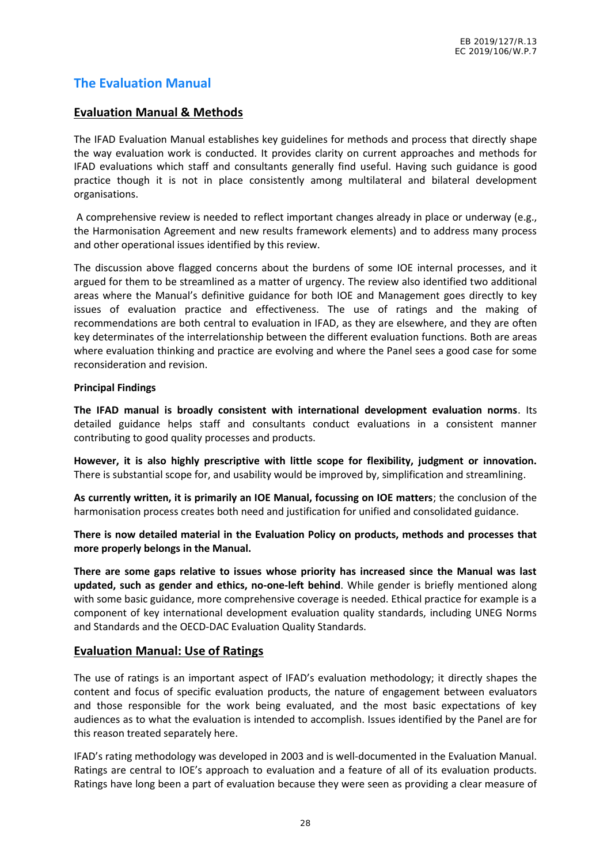## **The Evaluation Manual**

#### **Evaluation Manual & Methods**

The IFAD Evaluation Manual establishes key guidelines for methods and process that directly shape the way evaluation work is conducted. It provides clarity on current approaches and methods for IFAD evaluations which staff and consultants generally find useful. Having such guidance is good practice though it is not in place consistently among multilateral and bilateral development organisations.

A comprehensive review is needed to reflect important changes already in place or underway (e.g., the Harmonisation Agreement and new results framework elements) and to address many process and other operational issues identified by this review.

The discussion above flagged concerns about the burdens of some IOE internal processes, and it argued for them to be streamlined as a matter of urgency. The review also identified two additional areas where the Manual's definitive guidance for both IOE and Management goes directly to key issues of evaluation practice and effectiveness. The use of ratings and the making of recommendations are both central to evaluation in IFAD, as they are elsewhere, and they are often key determinates of the interrelationship between the different evaluation functions. Both are areas where evaluation thinking and practice are evolving and where the Panel sees a good case for some reconsideration and revision.

#### **Principal Findings**

**The IFAD manual is broadly consistent with international development evaluation norms**. Its detailed guidance helps staff and consultants conduct evaluations in a consistent manner contributing to good quality processes and products.

**However, it is also highly prescriptive with little scope for flexibility, judgment or innovation.** There is substantial scope for, and usability would be improved by, simplification and streamlining.

**As currently written, it is primarily an IOE Manual, focussing on IOE matters**; the conclusion of the harmonisation process creates both need and justification for unified and consolidated guidance.

**There is now detailed material in the Evaluation Policy on products, methods and processes that more properly belongs in the Manual.**

**There are some gaps relative to issues whose priority has increased since the Manual was last updated, such as gender and ethics, no-one-left behind**. While gender is briefly mentioned along with some basic guidance, more comprehensive coverage is needed. Ethical practice for example is a component of key international development evaluation quality standards, including UNEG Norms and Standards and the OECD-DAC Evaluation Quality Standards.

#### **Evaluation Manual: Use of Ratings**

The use of ratings is an important aspect of IFAD's evaluation methodology; it directly shapes the content and focus of specific evaluation products, the nature of engagement between evaluators and those responsible for the work being evaluated, and the most basic expectations of key audiences as to what the evaluation is intended to accomplish. Issues identified by the Panel are for this reason treated separately here.

IFAD's rating methodology was developed in 2003 and is well-documented in the Evaluation Manual. Ratings are central to IOE's approach to evaluation and a feature of all of its evaluation products. Ratings have long been a part of evaluation because they were seen as providing a clear measure of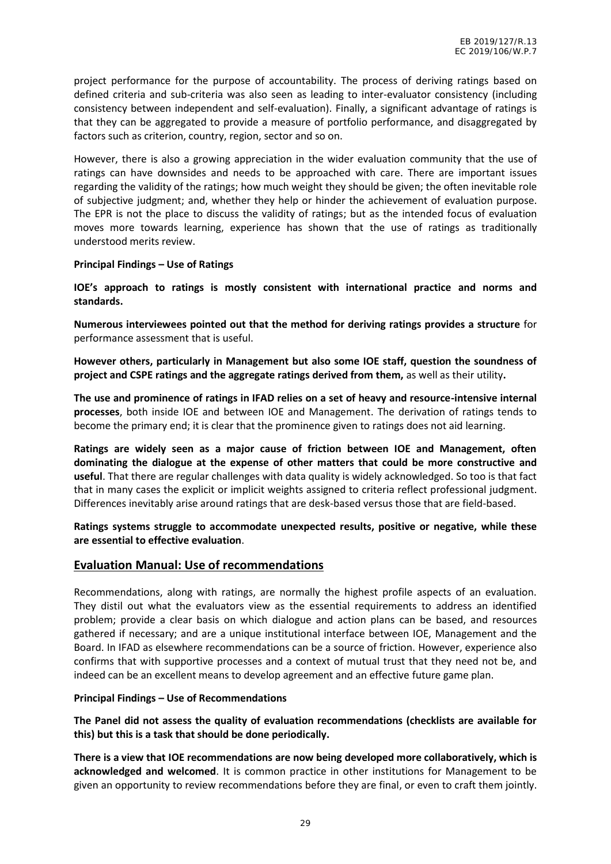project performance for the purpose of accountability. The process of deriving ratings based on defined criteria and sub-criteria was also seen as leading to inter-evaluator consistency (including consistency between independent and self-evaluation). Finally, a significant advantage of ratings is that they can be aggregated to provide a measure of portfolio performance, and disaggregated by factors such as criterion, country, region, sector and so on.

However, there is also a growing appreciation in the wider evaluation community that the use of ratings can have downsides and needs to be approached with care. There are important issues regarding the validity of the ratings; how much weight they should be given; the often inevitable role of subjective judgment; and, whether they help or hinder the achievement of evaluation purpose. The EPR is not the place to discuss the validity of ratings; but as the intended focus of evaluation moves more towards learning, experience has shown that the use of ratings as traditionally understood merits review.

#### **Principal Findings – Use of Ratings**

**IOE's approach to ratings is mostly consistent with international practice and norms and standards.**

**Numerous interviewees pointed out that the method for deriving ratings provides a structure** for performance assessment that is useful.

**However others, particularly in Management but also some IOE staff, question the soundness of project and CSPE ratings and the aggregate ratings derived from them,** as well as their utility**.**

**The use and prominence of ratings in IFAD relies on a set of heavy and resource-intensive internal processes**, both inside IOE and between IOE and Management. The derivation of ratings tends to become the primary end; it is clear that the prominence given to ratings does not aid learning.

**Ratings are widely seen as a major cause of friction between IOE and Management, often dominating the dialogue at the expense of other matters that could be more constructive and useful**. That there are regular challenges with data quality is widely acknowledged. So too is that fact that in many cases the explicit or implicit weights assigned to criteria reflect professional judgment. Differences inevitably arise around ratings that are desk-based versus those that are field-based.

**Ratings systems struggle to accommodate unexpected results, positive or negative, while these are essential to effective evaluation**.

#### **Evaluation Manual: Use of recommendations**

Recommendations, along with ratings, are normally the highest profile aspects of an evaluation. They distil out what the evaluators view as the essential requirements to address an identified problem; provide a clear basis on which dialogue and action plans can be based, and resources gathered if necessary; and are a unique institutional interface between IOE, Management and the Board. In IFAD as elsewhere recommendations can be a source of friction. However, experience also confirms that with supportive processes and a context of mutual trust that they need not be, and indeed can be an excellent means to develop agreement and an effective future game plan.

#### **Principal Findings – Use of Recommendations**

**The Panel did not assess the quality of evaluation recommendations (checklists are available for this) but this is a task that should be done periodically.**

**There is a view that IOE recommendations are now being developed more collaboratively, which is acknowledged and welcomed**. It is common practice in other institutions for Management to be given an opportunity to review recommendations before they are final, or even to craft them jointly.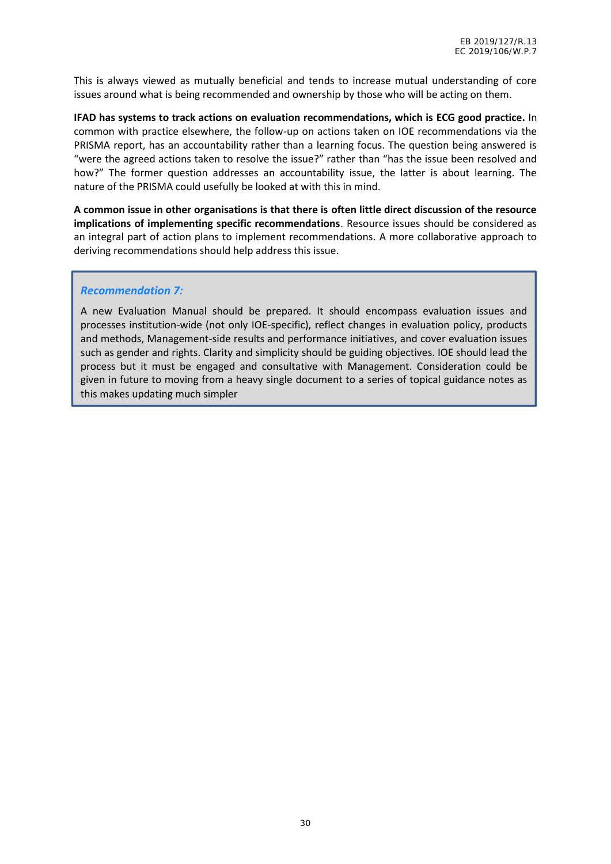This is always viewed as mutually beneficial and tends to increase mutual understanding of core issues around what is being recommended and ownership by those who will be acting on them.

**IFAD has systems to track actions on evaluation recommendations, which is ECG good practice.** In common with practice elsewhere, the follow-up on actions taken on IOE recommendations via the PRISMA report, has an accountability rather than a learning focus. The question being answered is "were the agreed actions taken to resolve the issue?" rather than "has the issue been resolved and how?" The former question addresses an accountability issue, the latter is about learning. The nature of the PRISMA could usefully be looked at with this in mind.

**A common issue in other organisations is that there is often little direct discussion of the resource implications of implementing specific recommendations**. Resource issues should be considered as an integral part of action plans to implement recommendations. A more collaborative approach to deriving recommendations should help address this issue.

#### *Recommendation 7:*

A new Evaluation Manual should be prepared. It should encompass evaluation issues and processes institution-wide (not only IOE-specific), reflect changes in evaluation policy, products and methods, Management-side results and performance initiatives, and cover evaluation issues such as gender and rights. Clarity and simplicity should be guiding objectives. IOE should lead the process but it must be engaged and consultative with Management. Consideration could be given in future to moving from a heavy single document to a series of topical guidance notes as this makes updating much simpler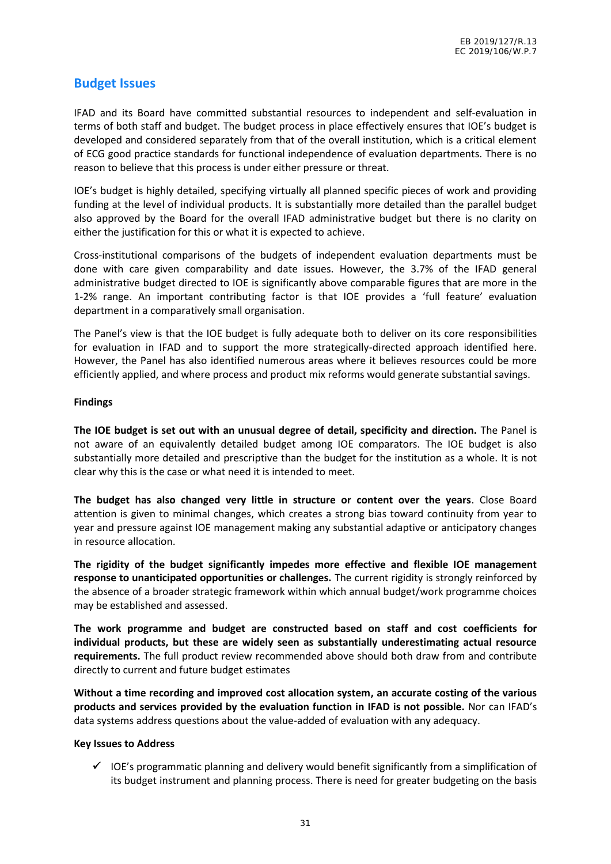## **Budget Issues**

IFAD and its Board have committed substantial resources to independent and self-evaluation in terms of both staff and budget. The budget process in place effectively ensures that IOE's budget is developed and considered separately from that of the overall institution, which is a critical element of ECG good practice standards for functional independence of evaluation departments. There is no reason to believe that this process is under either pressure or threat.

IOE's budget is highly detailed, specifying virtually all planned specific pieces of work and providing funding at the level of individual products. It is substantially more detailed than the parallel budget also approved by the Board for the overall IFAD administrative budget but there is no clarity on either the justification for this or what it is expected to achieve.

Cross-institutional comparisons of the budgets of independent evaluation departments must be done with care given comparability and date issues. However, the 3.7% of the IFAD general administrative budget directed to IOE is significantly above comparable figures that are more in the 1-2% range. An important contributing factor is that IOE provides a 'full feature' evaluation department in a comparatively small organisation.

The Panel's view is that the IOE budget is fully adequate both to deliver on its core responsibilities for evaluation in IFAD and to support the more strategically-directed approach identified here. However, the Panel has also identified numerous areas where it believes resources could be more efficiently applied, and where process and product mix reforms would generate substantial savings.

#### **Findings**

**The IOE budget is set out with an unusual degree of detail, specificity and direction.** The Panel is not aware of an equivalently detailed budget among IOE comparators. The IOE budget is also substantially more detailed and prescriptive than the budget for the institution as a whole. It is not clear why this is the case or what need it is intended to meet.

**The budget has also changed very little in structure or content over the years**. Close Board attention is given to minimal changes, which creates a strong bias toward continuity from year to year and pressure against IOE management making any substantial adaptive or anticipatory changes in resource allocation.

**The rigidity of the budget significantly impedes more effective and flexible IOE management response to unanticipated opportunities or challenges.** The current rigidity is strongly reinforced by the absence of a broader strategic framework within which annual budget/work programme choices may be established and assessed.

**The work programme and budget are constructed based on staff and cost coefficients for individual products, but these are widely seen as substantially underestimating actual resource requirements.** The full product review recommended above should both draw from and contribute directly to current and future budget estimates

**Without a time recording and improved cost allocation system, an accurate costing of the various products and services provided by the evaluation function in IFAD is not possible.** Nor can IFAD's data systems address questions about the value-added of evaluation with any adequacy.

#### **Key Issues to Address**

 $\checkmark$  IOE's programmatic planning and delivery would benefit significantly from a simplification of its budget instrument and planning process. There is need for greater budgeting on the basis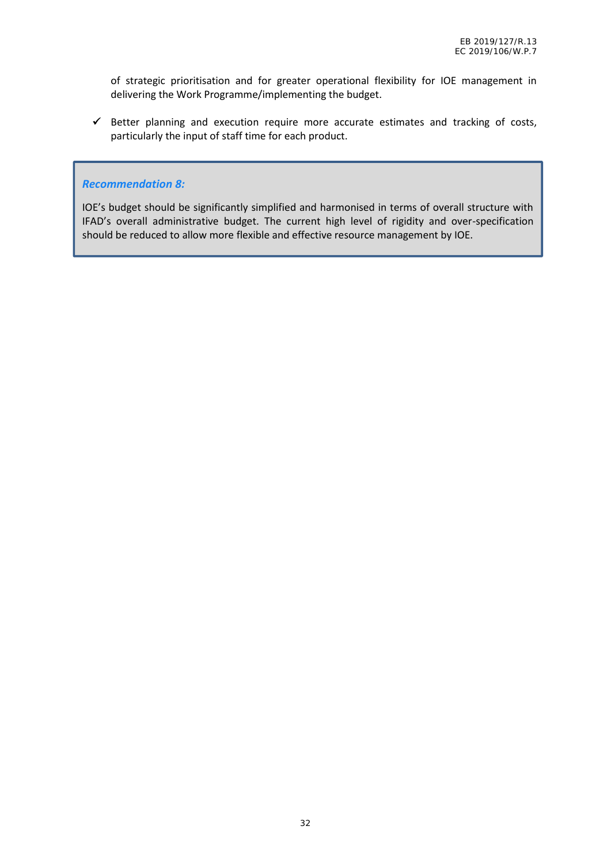of strategic prioritisation and for greater operational flexibility for IOE management in delivering the Work Programme/implementing the budget.

 $\checkmark$  Better planning and execution require more accurate estimates and tracking of costs, particularly the input of staff time for each product.

#### *Recommendation 8:*

IOE's budget should be significantly simplified and harmonised in terms of overall structure with IFAD's overall administrative budget. The current high level of rigidity and over-specification should be reduced to allow more flexible and effective resource management by IOE.